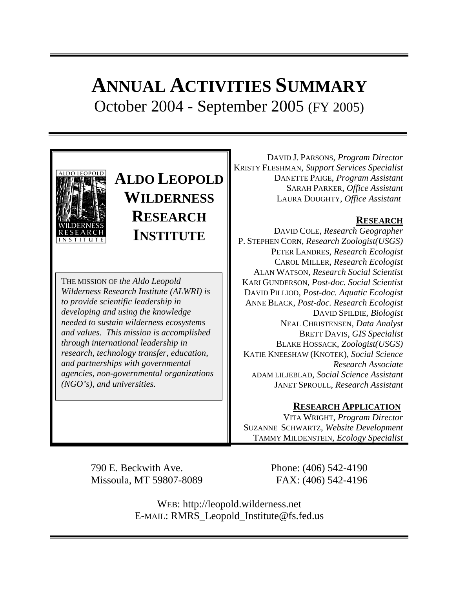# **ANNUAL ACTIVITIES SUMMARY** October 2004 - September 2005 (FY 2005)



# **ALDO LEOPOLD WILDERNESS RESEARCH INSTITUTE**

THE MISSION OF *the Aldo Leopold Wilderness Research Institute (ALWRI) is to provide scientific leadership in developing and using the knowledge needed to sustain wilderness ecosystems and values. This mission is accomplished through international leadership in research, technology transfer, education, and partnerships with governmental agencies, non-governmental organizations (NGO's), and universities.* 

DAVID J. PARSONS, *Program Director* KRISTY FLESHMAN, *Support Services Specialist* DANETTE PAIGE, *Program Assistant* SARAH PARKER, *Office Assistant* LAURA DOUGHTY, *Office Assistant*

## **RESEARCH**

DAVID COLE, *Research Geographer* P. STEPHEN CORN, *Research Zoologist(USGS)* PETER LANDRES, *Research Ecologist* CAROL MILLER, *Research Ecologist* ALAN WATSON, *Research Social Scientist* KARI GUNDERSON, *Post-doc. Social Scientist* DAVID PILLIOD, *Post-doc. Aquatic Ecologist* ANNE BLACK, *Post-doc. Research Ecologist* DAVID SPILDIE, *Biologist* NEAL CHRISTENSEN, *Data Analyst* BRETT DAVIS, *GIS Specialist* BLAKE HOSSACK, *Zoologist(USGS)* KATIE KNEESHAW (KNOTEK), *Social Science Research Associate* ADAM LILJEBLAD*, Social Science Assistant* JANET SPROULL, *Research Assistant*

## **RESEARCH APPLICATION**

VITA WRIGHT, *Program Director* SUZANNE SCHWARTZ, *Website Development* TAMMY MILDENSTEIN*, Ecology Specialist*

790 E. Beckwith Ave. Phone: (406) 542-4190 Missoula, MT 59807-8089 FAX: (406) 542-4196

WEB: http://leopold.wilderness.net E-MAIL: RMRS\_Leopold\_Institute@fs.fed.us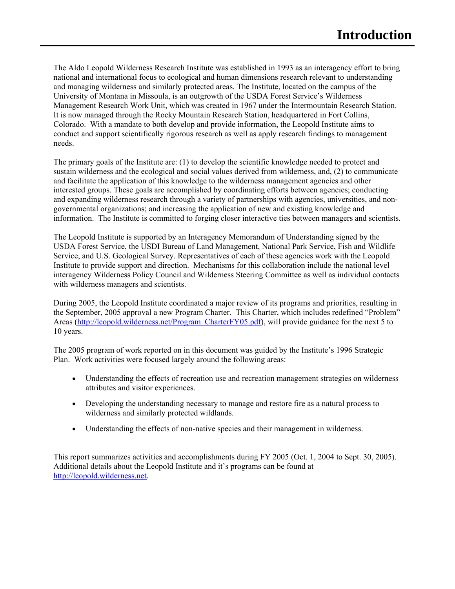The Aldo Leopold Wilderness Research Institute was established in 1993 as an interagency effort to bring national and international focus to ecological and human dimensions research relevant to understanding and managing wilderness and similarly protected areas. The Institute, located on the campus of the University of Montana in Missoula, is an outgrowth of the USDA Forest Service's Wilderness Management Research Work Unit, which was created in 1967 under the Intermountain Research Station. It is now managed through the Rocky Mountain Research Station, headquartered in Fort Collins, Colorado. With a mandate to both develop and provide information, the Leopold Institute aims to conduct and support scientifically rigorous research as well as apply research findings to management needs.

The primary goals of the Institute are: (1) to develop the scientific knowledge needed to protect and sustain wilderness and the ecological and social values derived from wilderness, and, (2) to communicate and facilitate the application of this knowledge to the wilderness management agencies and other interested groups. These goals are accomplished by coordinating efforts between agencies; conducting and expanding wilderness research through a variety of partnerships with agencies, universities, and nongovernmental organizations; and increasing the application of new and existing knowledge and information. The Institute is committed to forging closer interactive ties between managers and scientists.

The Leopold Institute is supported by an Interagency Memorandum of Understanding signed by the USDA Forest Service, the USDI Bureau of Land Management, National Park Service, Fish and Wildlife Service, and U.S. Geological Survey. Representatives of each of these agencies work with the Leopold Institute to provide support and direction. Mechanisms for this collaboration include the national level interagency Wilderness Policy Council and Wilderness Steering Committee as well as individual contacts with wilderness managers and scientists.

During 2005, the Leopold Institute coordinated a major review of its programs and priorities, resulting in the September, 2005 approval a new Program Charter. This Charter, which includes redefined "Problem" Areas [\(http://leopold.wilderness.net/Program\\_CharterFY05.pdf](http://leopold.wilderness.net/Program_CharterFY05.pdf)), will provide guidance for the next 5 to 10 years.

The 2005 program of work reported on in this document was guided by the Institute's 1996 Strategic Plan. Work activities were focused largely around the following areas:

- Understanding the effects of recreation use and recreation management strategies on wilderness attributes and visitor experiences.
- Developing the understanding necessary to manage and restore fire as a natural process to wilderness and similarly protected wildlands.
- Understanding the effects of non-native species and their management in wilderness.

This report summarizes activities and accomplishments during FY 2005 (Oct. 1, 2004 to Sept. 30, 2005). Additional details about the Leopold Institute and it's programs can be found at [http://leopold.wilderness.net](http://leopold.wilderness.net/).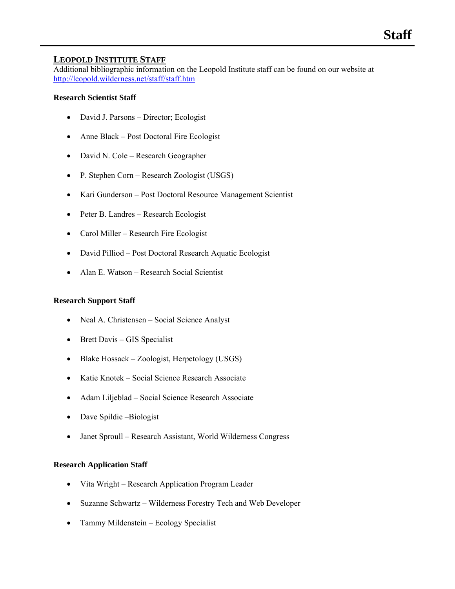#### **LEOPOLD INSTITUTE STAFF**

Additional bibliographic information on the Leopold Institute staff can be found on our website at <http://leopold.wilderness.net/staff/staff.htm>

#### **Research Scientist Staff**

- David J. Parsons Director; Ecologist
- Anne Black Post Doctoral Fire Ecologist
- David N. Cole Research Geographer
- P. Stephen Corn Research Zoologist (USGS)
- Kari Gunderson Post Doctoral Resource Management Scientist
- Peter B. Landres Research Ecologist
- Carol Miller Research Fire Ecologist
- David Pilliod Post Doctoral Research Aquatic Ecologist
- Alan E. Watson Research Social Scientist

#### **Research Support Staff**

- Neal A. Christensen Social Science Analyst
- Brett Davis GIS Specialist
- Blake Hossack Zoologist, Herpetology (USGS)
- Katie Knotek Social Science Research Associate
- Adam Liljeblad Social Science Research Associate
- Dave Spildie Biologist
- Janet Sproull Research Assistant, World Wilderness Congress

#### **Research Application Staff**

- Vita Wright Research Application Program Leader
- Suzanne Schwartz Wilderness Forestry Tech and Web Developer
- Tammy Mildenstein Ecology Specialist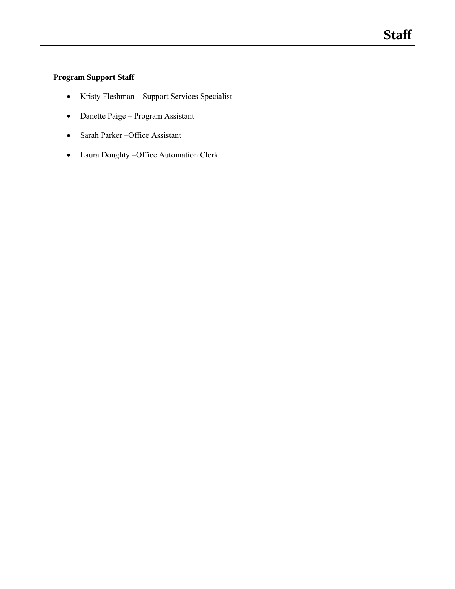## **Program Support Staff**

- Kristy Fleshman Support Services Specialist
- Danette Paige Program Assistant
- Sarah Parker –Office Assistant
- Laura Doughty –Office Automation Clerk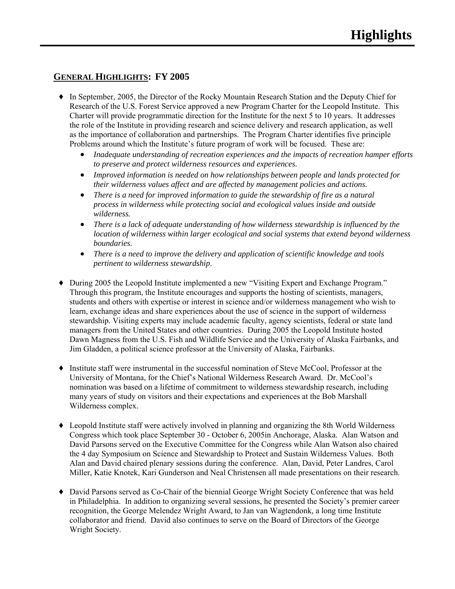## **GENERAL HIGHLIGHTS: FY 2005**

- ♦ In September, 2005, the Director of the Rocky Mountain Research Station and the Deputy Chief for Research of the U.S. Forest Service approved a new Program Charter for the Leopold Institute. This Charter will provide programmatic direction for the Institute for the next 5 to 10 years. It addresses the role of the Institute in providing research and science delivery and research application, as well as the importance of collaboration and partnerships. The Program Charter identifies five principle Problems around which the Institute's future program of work will be focused. These are:
	- *Inadequate understanding of recreation experiences and the impacts of recreation hamper efforts to preserve and protect wilderness resources and experiences.*
	- *Improved information is needed on how relationships between people and lands protected for their wilderness values affect and are affected by management policies and actions.*
	- *There is a need for improved information to guide the stewardship of fire as a natural process in wilderness while protecting social and ecological values inside and outside wilderness.*
	- *There is a lack of adequate understanding of how wilderness stewardship is influenced by the location of wilderness within larger ecological and social systems that extend beyond wilderness boundaries.*
	- *There is a need to improve the delivery and application of scientific knowledge and tools pertinent to wilderness stewardship*.
- ♦ During 2005 the Leopold Institute implemented a new "Visiting Expert and Exchange Program." Through this program, the Institute encourages and supports the hosting of scientists, managers, students and others with expertise or interest in science and/or wilderness management who wish to learn, exchange ideas and share experiences about the use of science in the support of wilderness stewardship. Visiting experts may include academic faculty, agency scientists, federal or state land managers from the United States and other countries. During 2005 the Leopold Institute hosted Dawn Magness from the U.S. Fish and Wildlife Service and the University of Alaska Fairbanks, and Jim Gladden, a political science professor at the University of Alaska, Fairbanks.
- ♦ Institute staff were instrumental in the successful nomination of Steve McCool, Professor at the University of Montana, for the Chief's National Wilderness Research Award. Dr. McCool's nomination was based on a lifetime of commitment to wilderness stewardship research, including many years of study on visitors and their expectations and experiences at the Bob Marshall Wilderness complex.
- ♦ Leopold Institute staff were actively involved in planning and organizing the 8th World Wilderness Congress which took place September 30 - October 6, 2005in Anchorage, Alaska. Alan Watson and David Parsons served on the Executive Committee for the Congress while Alan Watson also chaired the 4 day Symposium on Science and Stewardship to Protect and Sustain Wilderness Values. Both Alan and David chaired plenary sessions during the conference. Alan, David, Peter Landres, Carol Miller, Katie Knotek, Kari Gunderson and Neal Christensen all made presentations on their research.
- ♦ David Parsons served as Co-Chair of the biennial George Wright Society Conference that was held in Philadelphia. In addition to organizing several sessions, he presented the Society's premier career recognition, the George Melendez Wright Award, to Jan van Wagtendonk, a long time Institute collaborator and friend. David also continues to serve on the Board of Directors of the George Wright Society.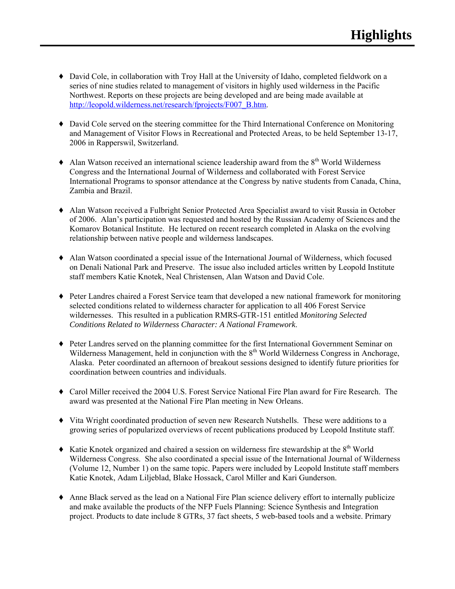- ♦ David Cole, in collaboration with Troy Hall at the University of Idaho, completed fieldwork on a series of nine studies related to management of visitors in highly used wilderness in the Pacific Northwest. Reports on these projects are being developed and are being made available at [http://leopold.wilderness.net/research/fprojects/F007\\_B.htm](http://leopold.wilderness.net/research/fprojects/F007_B.htm).
- ♦ David Cole served on the steering committee for the Third International Conference on Monitoring and Management of Visitor Flows in Recreational and Protected Areas, to be held September 13-17, 2006 in Rapperswil, Switzerland.
- $\triangle$  Alan Watson received an international science leadership award from the  $8<sup>th</sup>$  World Wilderness Congress and the International Journal of Wilderness and collaborated with Forest Service International Programs to sponsor attendance at the Congress by native students from Canada, China, Zambia and Brazil.
- ♦ Alan Watson received a Fulbright Senior Protected Area Specialist award to visit Russia in October of 2006. Alan's participation was requested and hosted by the Russian Academy of Sciences and the Komarov Botanical Institute. He lectured on recent research completed in Alaska on the evolving relationship between native people and wilderness landscapes.
- ♦ Alan Watson coordinated a special issue of the International Journal of Wilderness, which focused on Denali National Park and Preserve. The issue also included articles written by Leopold Institute staff members Katie Knotek, Neal Christensen, Alan Watson and David Cole.
- ♦ Peter Landres chaired a Forest Service team that developed a new national framework for monitoring selected conditions related to wilderness character for application to all 406 Forest Service wildernesses. This resulted in a publication RMRS-GTR-151 entitled *Monitoring Selected Conditions Related to Wilderness Character: A National Framework*.
- ♦ Peter Landres served on the planning committee for the first International Government Seminar on Wilderness Management, held in conjunction with the  $8<sup>th</sup>$  World Wilderness Congress in Anchorage, Alaska. Peter coordinated an afternoon of breakout sessions designed to identify future priorities for coordination between countries and individuals.
- ♦ Carol Miller received the 2004 U.S. Forest Service National Fire Plan award for Fire Research. The award was presented at the National Fire Plan meeting in New Orleans.
- ♦ Vita Wright coordinated production of seven new Research Nutshells. These were additions to a growing series of popularized overviews of recent publications produced by Leopold Institute staff.
- $\blacklozenge$  Katie Knotek organized and chaired a session on wilderness fire stewardship at the  $8<sup>th</sup>$  World Wilderness Congress. She also coordinated a special issue of the International Journal of Wilderness (Volume 12, Number 1) on the same topic. Papers were included by Leopold Institute staff members Katie Knotek, Adam Liljeblad, Blake Hossack, Carol Miller and Kari Gunderson.
- ♦ Anne Black served as the lead on a National Fire Plan science delivery effort to internally publicize and make available the products of the NFP Fuels Planning: Science Synthesis and Integration project. Products to date include 8 GTRs, 37 fact sheets, 5 web-based tools and a website. Primary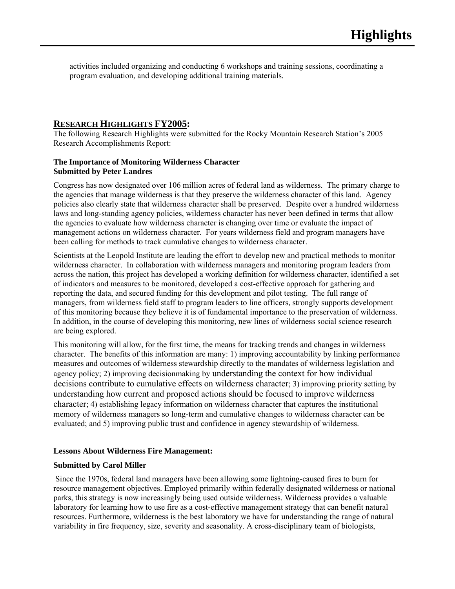activities included organizing and conducting 6 workshops and training sessions, coordinating a program evaluation, and developing additional training materials.

#### **RESEARCH HIGHLIGHTS FY2005:**

The following Research Highlights were submitted for the Rocky Mountain Research Station's 2005 Research Accomplishments Report:

#### **The Importance of Monitoring Wilderness Character Submitted by Peter Landres**

Congress has now designated over 106 million acres of federal land as wilderness. The primary charge to the agencies that manage wilderness is that they preserve the wilderness character of this land. Agency policies also clearly state that wilderness character shall be preserved. Despite over a hundred wilderness laws and long-standing agency policies, wilderness character has never been defined in terms that allow the agencies to evaluate how wilderness character is changing over time or evaluate the impact of management actions on wilderness character. For years wilderness field and program managers have been calling for methods to track cumulative changes to wilderness character.

Scientists at the Leopold Institute are leading the effort to develop new and practical methods to monitor wilderness character. In collaboration with wilderness managers and monitoring program leaders from across the nation, this project has developed a working definition for wilderness character, identified a set of indicators and measures to be monitored, developed a cost-effective approach for gathering and reporting the data, and secured funding for this development and pilot testing. The full range of managers, from wilderness field staff to program leaders to line officers, strongly supports development of this monitoring because they believe it is of fundamental importance to the preservation of wilderness. In addition, in the course of developing this monitoring, new lines of wilderness social science research are being explored.

This monitoring will allow, for the first time, the means for tracking trends and changes in wilderness character. The benefits of this information are many: 1) improving accountability by linking performance measures and outcomes of wilderness stewardship directly to the mandates of wilderness legislation and agency policy; 2) improving decisionmaking by understanding the context for how individual decisions contribute to cumulative effects on wilderness character; 3) improving priority setting by understanding how current and proposed actions should be focused to improve wilderness character; 4) establishing legacy information on wilderness character that captures the institutional memory of wilderness managers so long-term and cumulative changes to wilderness character can be evaluated; and 5) improving public trust and confidence in agency stewardship of wilderness.

#### **Lessons About Wilderness Fire Management:**

#### **Submitted by Carol Miller**

Since the 1970s, federal land managers have been allowing some lightning-caused fires to burn for resource management objectives. Employed primarily within federally designated wilderness or national parks, this strategy is now increasingly being used outside wilderness. Wilderness provides a valuable laboratory for learning how to use fire as a cost-effective management strategy that can benefit natural resources. Furthermore, wilderness is the best laboratory we have for understanding the range of natural variability in fire frequency, size, severity and seasonality. A cross-disciplinary team of biologists,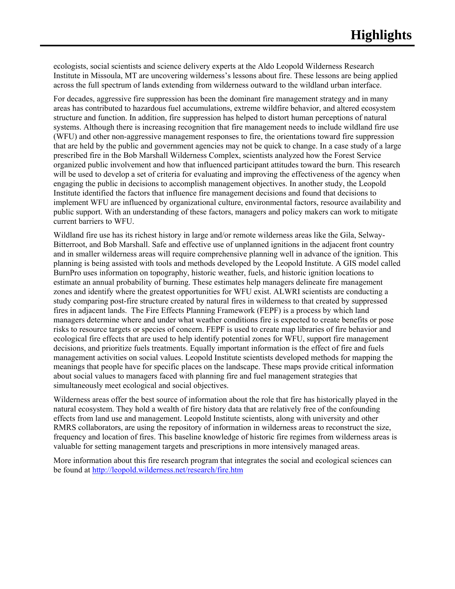ecologists, social scientists and science delivery experts at the Aldo Leopold Wilderness Research Institute in Missoula, MT are uncovering wilderness's lessons about fire. These lessons are being applied across the full spectrum of lands extending from wilderness outward to the wildland urban interface.

For decades, aggressive fire suppression has been the dominant fire management strategy and in many areas has contributed to hazardous fuel accumulations, extreme wildfire behavior, and altered ecosystem structure and function. In addition, fire suppression has helped to distort human perceptions of natural systems. Although there is increasing recognition that fire management needs to include wildland fire use (WFU) and other non-aggressive management responses to fire, the orientations toward fire suppression that are held by the public and government agencies may not be quick to change. In a case study of a large prescribed fire in the Bob Marshall Wilderness Complex, scientists analyzed how the Forest Service organized public involvement and how that influenced participant attitudes toward the burn. This research will be used to develop a set of criteria for evaluating and improving the effectiveness of the agency when engaging the public in decisions to accomplish management objectives. In another study, the Leopold Institute identified the factors that influence fire management decisions and found that decisions to implement WFU are influenced by organizational culture, environmental factors, resource availability and public support. With an understanding of these factors, managers and policy makers can work to mitigate current barriers to WFU.

Wildland fire use has its richest history in large and/or remote wilderness areas like the Gila, Selway-Bitterroot, and Bob Marshall. Safe and effective use of unplanned ignitions in the adjacent front country and in smaller wilderness areas will require comprehensive planning well in advance of the ignition. This planning is being assisted with tools and methods developed by the Leopold Institute. A GIS model called BurnPro uses information on topography, historic weather, fuels, and historic ignition locations to estimate an annual probability of burning. These estimates help managers delineate fire management zones and identify where the greatest opportunities for WFU exist. ALWRI scientists are conducting a study comparing post-fire structure created by natural fires in wilderness to that created by suppressed fires in adjacent lands. The Fire Effects Planning Framework (FEPF) is a process by which land managers determine where and under what weather conditions fire is expected to create benefits or pose risks to resource targets or species of concern. FEPF is used to create map libraries of fire behavior and ecological fire effects that are used to help identify potential zones for WFU, support fire management decisions, and prioritize fuels treatments. Equally important information is the effect of fire and fuels management activities on social values. Leopold Institute scientists developed methods for mapping the meanings that people have for specific places on the landscape. These maps provide critical information about social values to managers faced with planning fire and fuel management strategies that simultaneously meet ecological and social objectives.

Wilderness areas offer the best source of information about the role that fire has historically played in the natural ecosystem. They hold a wealth of fire history data that are relatively free of the confounding effects from land use and management. Leopold Institute scientists, along with university and other RMRS collaborators, are using the repository of information in wilderness areas to reconstruct the size, frequency and location of fires. This baseline knowledge of historic fire regimes from wilderness areas is valuable for setting management targets and prescriptions in more intensively managed areas.

More information about this fire research program that integrates the social and ecological sciences can be found at<http://leopold.wilderness.net/research/fire.htm>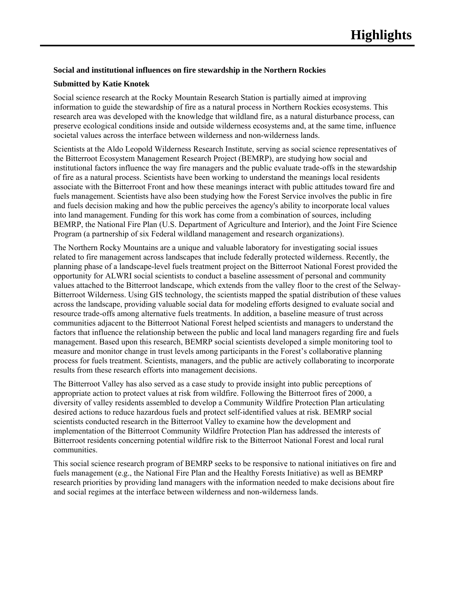#### **Social and institutional influences on fire stewardship in the Northern Rockies**

#### **Submitted by Katie Knotek**

Social science research at the Rocky Mountain Research Station is partially aimed at improving information to guide the stewardship of fire as a natural process in Northern Rockies ecosystems. This research area was developed with the knowledge that wildland fire, as a natural disturbance process, can preserve ecological conditions inside and outside wilderness ecosystems and, at the same time, influence societal values across the interface between wilderness and non-wilderness lands.

Scientists at the Aldo Leopold Wilderness Research Institute, serving as social science representatives of the Bitterroot Ecosystem Management Research Project (BEMRP), are studying how social and institutional factors influence the way fire managers and the public evaluate trade-offs in the stewardship of fire as a natural process. Scientists have been working to understand the meanings local residents associate with the Bitterroot Front and how these meanings interact with public attitudes toward fire and fuels management. Scientists have also been studying how the Forest Service involves the public in fire and fuels decision making and how the public perceives the agency's ability to incorporate local values into land management. Funding for this work has come from a combination of sources, including BEMRP, the National Fire Plan (U.S. Department of Agriculture and Interior), and the Joint Fire Science Program (a partnership of six Federal wildland management and research organizations).

The Northern Rocky Mountains are a unique and valuable laboratory for investigating social issues related to fire management across landscapes that include federally protected wilderness. Recently, the planning phase of a landscape-level fuels treatment project on the Bitterroot National Forest provided the opportunity for ALWRI social scientists to conduct a baseline assessment of personal and community values attached to the Bitterroot landscape, which extends from the valley floor to the crest of the Selway-Bitterroot Wilderness. Using GIS technology, the scientists mapped the spatial distribution of these values across the landscape, providing valuable social data for modeling efforts designed to evaluate social and resource trade-offs among alternative fuels treatments. In addition, a baseline measure of trust across communities adjacent to the Bitterroot National Forest helped scientists and managers to understand the factors that influence the relationship between the public and local land managers regarding fire and fuels management. Based upon this research, BEMRP social scientists developed a simple monitoring tool to measure and monitor change in trust levels among participants in the Forest's collaborative planning process for fuels treatment. Scientists, managers, and the public are actively collaborating to incorporate results from these research efforts into management decisions.

The Bitterroot Valley has also served as a case study to provide insight into public perceptions of appropriate action to protect values at risk from wildfire. Following the Bitterroot fires of 2000, a diversity of valley residents assembled to develop a Community Wildfire Protection Plan articulating desired actions to reduce hazardous fuels and protect self-identified values at risk. BEMRP social scientists conducted research in the Bitterroot Valley to examine how the development and implementation of the Bitterroot Community Wildfire Protection Plan has addressed the interests of Bitterroot residents concerning potential wildfire risk to the Bitterroot National Forest and local rural communities.

This social science research program of BEMRP seeks to be responsive to national initiatives on fire and fuels management (e.g., the National Fire Plan and the Healthy Forests Initiative) as well as BEMRP research priorities by providing land managers with the information needed to make decisions about fire and social regimes at the interface between wilderness and non-wilderness lands.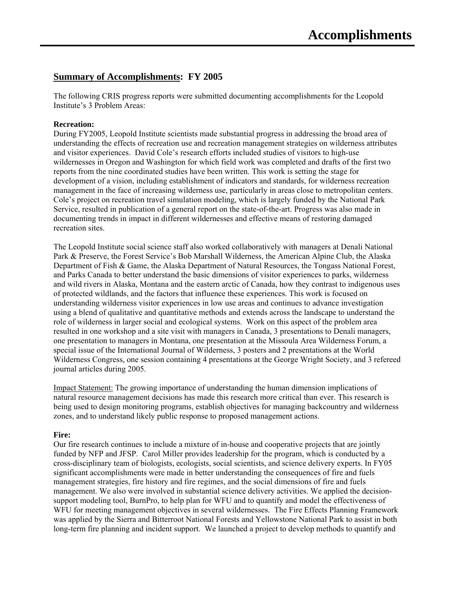## **Summary of Accomplishments: FY 2005**

The following CRIS progress reports were submitted documenting accomplishments for the Leopold Institute's 3 Problem Areas:

#### **Recreation:**

During FY2005, Leopold Institute scientists made substantial progress in addressing the broad area of understanding the effects of recreation use and recreation management strategies on wilderness attributes and visitor experiences. David Cole's research efforts included studies of visitors to high-use wildernesses in Oregon and Washington for which field work was completed and drafts of the first two reports from the nine coordinated studies have been written. This work is setting the stage for development of a vision, including establishment of indicators and standards, for wilderness recreation management in the face of increasing wilderness use, particularly in areas close to metropolitan centers. Cole's project on recreation travel simulation modeling, which is largely funded by the National Park Service, resulted in publication of a general report on the state-of-the-art. Progress was also made in documenting trends in impact in different wildernesses and effective means of restoring damaged recreation sites.

The Leopold Institute social science staff also worked collaboratively with managers at Denali National Park & Preserve, the Forest Service's Bob Marshall Wilderness, the American Alpine Club, the Alaska Department of Fish & Game, the Alaska Department of Natural Resources, the Tongass National Forest, and Parks Canada to better understand the basic dimensions of visitor experiences to parks, wilderness and wild rivers in Alaska, Montana and the eastern arctic of Canada, how they contrast to indigenous uses of protected wildlands, and the factors that influence these experiences. This work is focused on understanding wilderness visitor experiences in low use areas and continues to advance investigation using a blend of qualitative and quantitative methods and extends across the landscape to understand the role of wilderness in larger social and ecological systems. Work on this aspect of the problem area resulted in one workshop and a site visit with managers in Canada, 3 presentations to Denali managers, one presentation to managers in Montana, one presentation at the Missoula Area Wilderness Forum, a special issue of the International Journal of Wilderness, 3 posters and 2 presentations at the World Wilderness Congress, one session containing 4 presentations at the George Wright Society, and 3 refereed journal articles during 2005.

Impact Statement: The growing importance of understanding the human dimension implications of natural resource management decisions has made this research more critical than ever. This research is being used to design monitoring programs, establish objectives for managing backcountry and wilderness zones, and to understand likely public response to proposed management actions.

#### **Fire:**

Our fire research continues to include a mixture of in-house and cooperative projects that are jointly funded by NFP and JFSP. Carol Miller provides leadership for the program, which is conducted by a cross-disciplinary team of biologists, ecologists, social scientists, and science delivery experts. In FY05 significant accomplishments were made in better understanding the consequences of fire and fuels management strategies, fire history and fire regimes, and the social dimensions of fire and fuels management. We also were involved in substantial science delivery activities. We applied the decisionsupport modeling tool, BurnPro, to help plan for WFU and to quantify and model the effectiveness of WFU for meeting management objectives in several wildernesses. The Fire Effects Planning Framework was applied by the Sierra and Bitterroot National Forests and Yellowstone National Park to assist in both long-term fire planning and incident support. We launched a project to develop methods to quantify and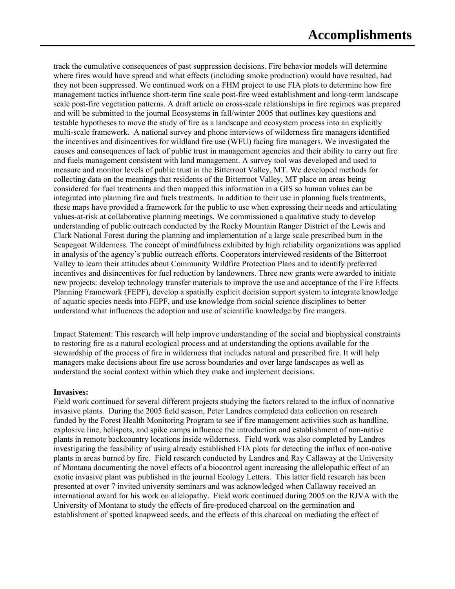track the cumulative consequences of past suppression decisions. Fire behavior models will determine where fires would have spread and what effects (including smoke production) would have resulted, had they not been suppressed. We continued work on a FHM project to use FIA plots to determine how fire management tactics influence short-term fine scale post-fire weed establishment and long-term landscape scale post-fire vegetation patterns. A draft article on cross-scale relationships in fire regimes was prepared and will be submitted to the journal Ecosystems in fall/winter 2005 that outlines key questions and testable hypotheses to move the study of fire as a landscape and ecosystem process into an explicitly multi-scale framework. A national survey and phone interviews of wilderness fire managers identified the incentives and disincentives for wildland fire use (WFU) facing fire managers. We investigated the causes and consequences of lack of public trust in management agencies and their ability to carry out fire and fuels management consistent with land management. A survey tool was developed and used to measure and monitor levels of public trust in the Bitterroot Valley, MT. We developed methods for collecting data on the meanings that residents of the Bitterroot Valley, MT place on areas being considered for fuel treatments and then mapped this information in a GIS so human values can be integrated into planning fire and fuels treatments. In addition to their use in planning fuels treatments, these maps have provided a framework for the public to use when expressing their needs and articulating values-at-risk at collaborative planning meetings. We commissioned a qualitative study to develop understanding of public outreach conducted by the Rocky Mountain Ranger District of the Lewis and Clark National Forest during the planning and implementation of a large scale prescribed burn in the Scapegoat Wilderness. The concept of mindfulness exhibited by high reliability organizations was applied in analysis of the agency's public outreach efforts. Cooperators interviewed residents of the Bitterroot Valley to learn their attitudes about Community Wildfire Protection Plans and to identify preferred incentives and disincentives for fuel reduction by landowners. Three new grants were awarded to initiate new projects: develop technology transfer materials to improve the use and acceptance of the Fire Effects Planning Framework (FEPF), develop a spatially explicit decision support system to integrate knowledge of aquatic species needs into FEPF, and use knowledge from social science disciplines to better understand what influences the adoption and use of scientific knowledge by fire mangers.

Impact Statement: This research will help improve understanding of the social and biophysical constraints to restoring fire as a natural ecological process and at understanding the options available for the stewardship of the process of fire in wilderness that includes natural and prescribed fire. It will help managers make decisions about fire use across boundaries and over large landscapes as well as understand the social context within which they make and implement decisions.

#### **Invasives:**

Field work continued for several different projects studying the factors related to the influx of nonnative invasive plants. During the 2005 field season, Peter Landres completed data collection on research funded by the Forest Health Monitoring Program to see if fire management activities such as handline, explosive line, helispots, and spike camps influence the introduction and establishment of non-native plants in remote backcountry locations inside wilderness. Field work was also completed by Landres investigating the feasibility of using already established FIA plots for detecting the influx of non-native plants in areas burned by fire. Field research conducted by Landres and Ray Callaway at the University of Montana documenting the novel effects of a biocontrol agent increasing the allelopathic effect of an exotic invasive plant was published in the journal Ecology Letters. This latter field research has been presented at over 7 invited university seminars and was acknowledged when Callaway received an international award for his work on allelopathy. Field work continued during 2005 on the RJVA with the University of Montana to study the effects of fire-produced charcoal on the germination and establishment of spotted knapweed seeds, and the effects of this charcoal on mediating the effect of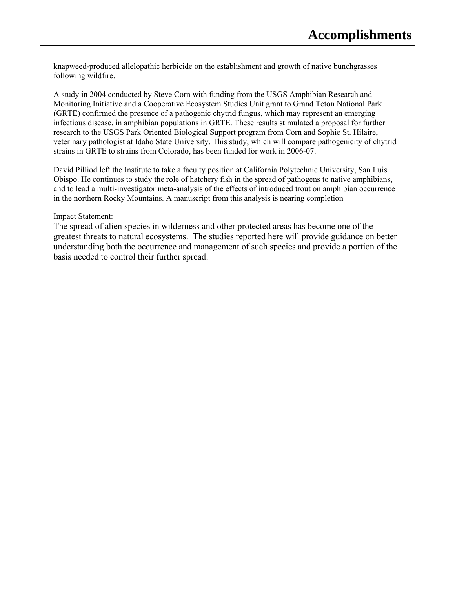knapweed-produced allelopathic herbicide on the establishment and growth of native bunchgrasses following wildfire.

A study in 2004 conducted by Steve Corn with funding from the USGS Amphibian Research and Monitoring Initiative and a Cooperative Ecosystem Studies Unit grant to Grand Teton National Park (GRTE) confirmed the presence of a pathogenic chytrid fungus, which may represent an emerging infectious disease, in amphibian populations in GRTE. These results stimulated a proposal for further research to the USGS Park Oriented Biological Support program from Corn and Sophie St. Hilaire, veterinary pathologist at Idaho State University. This study, which will compare pathogenicity of chytrid strains in GRTE to strains from Colorado, has been funded for work in 2006-07.

David Pilliod left the Institute to take a faculty position at California Polytechnic University, San Luis Obispo. He continues to study the role of hatchery fish in the spread of pathogens to native amphibians, and to lead a multi-investigator meta-analysis of the effects of introduced trout on amphibian occurrence in the northern Rocky Mountains. A manuscript from this analysis is nearing completion

#### Impact Statement:

The spread of alien species in wilderness and other protected areas has become one of the greatest threats to natural ecosystems. The studies reported here will provide guidance on better understanding both the occurrence and management of such species and provide a portion of the basis needed to control their further spread.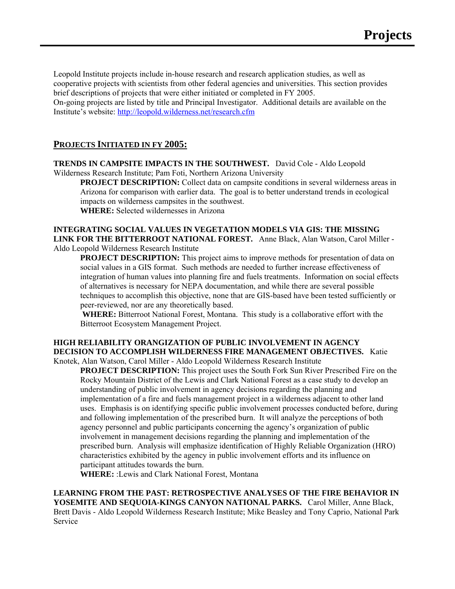Leopold Institute projects include in-house research and research application studies, as well as cooperative projects with scientists from other federal agencies and universities. This section provides brief descriptions of projects that were either initiated or completed in FY 2005. On-going projects are listed by title and Principal Investigator. Additional details are available on the Institute's website:<http://leopold.wilderness.net/research.cfm>

#### **PROJECTS INITIATED IN FY 2005:**

**TRENDS IN CAMPSITE IMPACTS IN THE SOUTHWEST.** David Cole - Aldo Leopold Wilderness Research Institute; Pam Foti, Northern Arizona University

**PROJECT DESCRIPTION:** Collect data on campsite conditions in several wilderness areas in Arizona for comparison with earlier data. The goal is to better understand trends in ecological impacts on wilderness campsites in the southwest.

**WHERE:** Selected wildernesses in Arizona

#### **INTEGRATING SOCIAL VALUES IN VEGETATION MODELS VIA GIS: THE MISSING LINK FOR THE BITTERROOT NATIONAL FOREST.** Anne Black, Alan Watson, Carol Miller - Aldo Leopold Wilderness Research Institute

**PROJECT DESCRIPTION:** This project aims to improve methods for presentation of data on social values in a GIS format. Such methods are needed to further increase effectiveness of integration of human values into planning fire and fuels treatments. Information on social effects of alternatives is necessary for NEPA documentation, and while there are several possible techniques to accomplish this objective, none that are GIS-based have been tested sufficiently or peer-reviewed, nor are any theoretically based.

**WHERE:** Bitterroot National Forest, Montana. This study is a collaborative effort with the Bitterroot Ecosystem Management Project.

## **HIGH RELIABILITY ORANGIZATION OF PUBLIC INVOLVEMENT IN AGENCY DECISION TO ACCOMPLISH WILDERNESS FIRE MANAGEMENT OBJECTIVES.** Katie

Knotek, Alan Watson, Carol Miller - Aldo Leopold Wilderness Research Institute **PROJECT DESCRIPTION:** This project uses the South Fork Sun River Prescribed Fire on the Rocky Mountain District of the Lewis and Clark National Forest as a case study to develop an understanding of public involvement in agency decisions regarding the planning and implementation of a fire and fuels management project in a wilderness adjacent to other land uses. Emphasis is on identifying specific public involvement processes conducted before, during and following implementation of the prescribed burn. It will analyze the perceptions of both agency personnel and public participants concerning the agency's organization of public involvement in management decisions regarding the planning and implementation of the prescribed burn. Analysis will emphasize identification of Highly Reliable Organization (HRO) characteristics exhibited by the agency in public involvement efforts and its influence on participant attitudes towards the burn.

**WHERE:** :Lewis and Clark National Forest, Montana

**LEARNING FROM THE PAST: RETROSPECTIVE ANALYSES OF THE FIRE BEHAVIOR IN YOSEMITE AND SEQUOIA-KINGS CANYON NATIONAL PARKS.** Carol Miller, Anne Black, Brett Davis - Aldo Leopold Wilderness Research Institute; Mike Beasley and Tony Caprio, National Park Service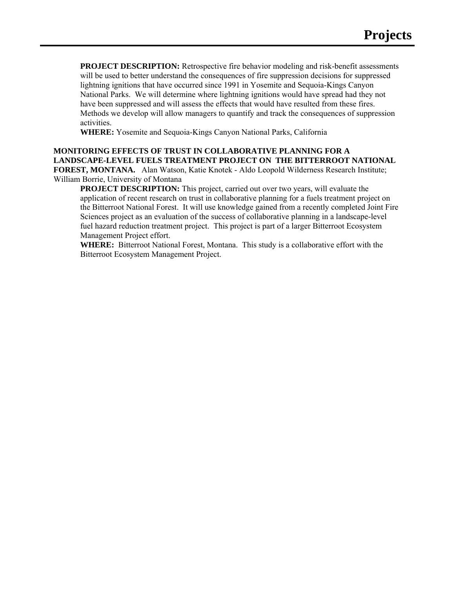**PROJECT DESCRIPTION:** Retrospective fire behavior modeling and risk-benefit assessments will be used to better understand the consequences of fire suppression decisions for suppressed lightning ignitions that have occurred since 1991 in Yosemite and Sequoia-Kings Canyon National Parks. We will determine where lightning ignitions would have spread had they not have been suppressed and will assess the effects that would have resulted from these fires. Methods we develop will allow managers to quantify and track the consequences of suppression activities.

**WHERE:** Yosemite and Sequoia-Kings Canyon National Parks, California

**MONITORING EFFECTS OF TRUST IN COLLABORATIVE PLANNING FOR A LANDSCAPE-LEVEL FUELS TREATMENT PROJECT ON THE BITTERROOT NATIONAL FOREST, MONTANA.** Alan Watson, Katie Knotek - Aldo Leopold Wilderness Research Institute; William Borrie, University of Montana

**PROJECT DESCRIPTION:** This project, carried out over two years, will evaluate the application of recent research on trust in collaborative planning for a fuels treatment project on the Bitterroot National Forest. It will use knowledge gained from a recently completed Joint Fire Sciences project as an evaluation of the success of collaborative planning in a landscape-level fuel hazard reduction treatment project. This project is part of a larger Bitterroot Ecosystem Management Project effort.

**WHERE:** Bitterroot National Forest, Montana. This study is a collaborative effort with the Bitterroot Ecosystem Management Project.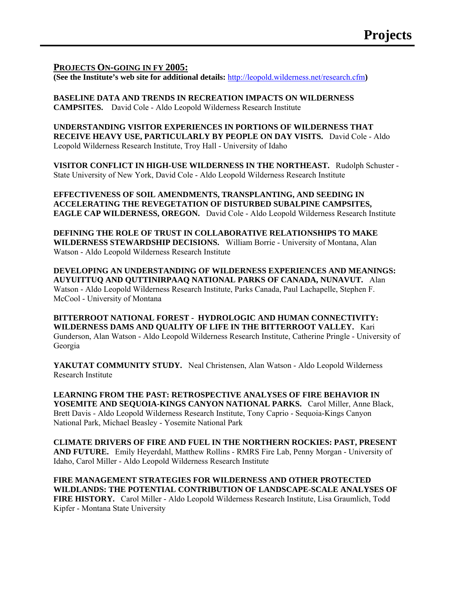#### **PROJECTS ON-GOING IN FY 2005:**

**(See the Institute's web site for additional details:** <http://leopold.wilderness.net/research.cfm>**)** 

**BASELINE DATA AND TRENDS IN RECREATION IMPACTS ON WILDERNESS CAMPSITES.** David Cole - Aldo Leopold Wilderness Research Institute

**UNDERSTANDING VISITOR EXPERIENCES IN PORTIONS OF WILDERNESS THAT RECEIVE HEAVY USE, PARTICULARLY BY PEOPLE ON DAY VISITS.** David Cole - Aldo Leopold Wilderness Research Institute, Troy Hall - University of Idaho

**VISITOR CONFLICT IN HIGH-USE WILDERNESS IN THE NORTHEAST.** Rudolph Schuster - State University of New York, David Cole - Aldo Leopold Wilderness Research Institute

**EFFECTIVENESS OF SOIL AMENDMENTS, TRANSPLANTING, AND SEEDING IN ACCELERATING THE REVEGETATION OF DISTURBED SUBALPINE CAMPSITES, EAGLE CAP WILDERNESS, OREGON.** David Cole - Aldo Leopold Wilderness Research Institute

**DEFINING THE ROLE OF TRUST IN COLLABORATIVE RELATIONSHIPS TO MAKE WILDERNESS STEWARDSHIP DECISIONS.** William Borrie - University of Montana, Alan Watson - Aldo Leopold Wilderness Research Institute

**DEVELOPING AN UNDERSTANDING OF WILDERNESS EXPERIENCES AND MEANINGS: AUYUITTUQ AND QUTTINIRPAAQ NATIONAL PARKS OF CANADA, NUNAVUT.** Alan Watson - Aldo Leopold Wilderness Research Institute, Parks Canada, Paul Lachapelle, Stephen F. McCool - University of Montana

**BITTERROOT NATIONAL FOREST - HYDROLOGIC AND HUMAN CONNECTIVITY: WILDERNESS DAMS AND QUALITY OF LIFE IN THE BITTERROOT VALLEY.** Kari Gunderson, Alan Watson - Aldo Leopold Wilderness Research Institute, Catherine Pringle - University of Georgia

YAKUTAT COMMUNITY STUDY. Neal Christensen, Alan Watson - Aldo Leopold Wilderness Research Institute

**LEARNING FROM THE PAST: RETROSPECTIVE ANALYSES OF FIRE BEHAVIOR IN YOSEMITE AND SEQUOIA-KINGS CANYON NATIONAL PARKS.** Carol Miller, Anne Black, Brett Davis - Aldo Leopold Wilderness Research Institute, Tony Caprio - Sequoia-Kings Canyon National Park, Michael Beasley - Yosemite National Park

**CLIMATE DRIVERS OF FIRE AND FUEL IN THE NORTHERN ROCKIES: PAST, PRESENT AND FUTURE.** Emily Heyerdahl, Matthew Rollins - RMRS Fire Lab, Penny Morgan - University of Idaho, Carol Miller - Aldo Leopold Wilderness Research Institute

**FIRE MANAGEMENT STRATEGIES FOR WILDERNESS AND OTHER PROTECTED WILDLANDS: THE POTENTIAL CONTRIBUTION OF LANDSCAPE-SCALE ANALYSES OF FIRE HISTORY.** Carol Miller - Aldo Leopold Wilderness Research Institute, Lisa Graumlich, Todd Kipfer - Montana State University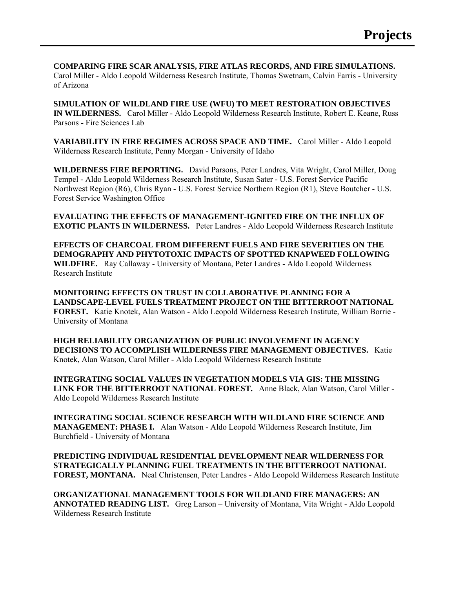**COMPARING FIRE SCAR ANALYSIS, FIRE ATLAS RECORDS, AND FIRE SIMULATIONS.** Carol Miller - Aldo Leopold Wilderness Research Institute, Thomas Swetnam, Calvin Farris - University of Arizona

**SIMULATION OF WILDLAND FIRE USE (WFU) TO MEET RESTORATION OBJECTIVES IN WILDERNESS.** Carol Miller - Aldo Leopold Wilderness Research Institute, Robert E. Keane, Russ Parsons - Fire Sciences Lab

**VARIABILITY IN FIRE REGIMES ACROSS SPACE AND TIME.** Carol Miller - Aldo Leopold Wilderness Research Institute, Penny Morgan - University of Idaho

**WILDERNESS FIRE REPORTING.** David Parsons, Peter Landres, Vita Wright, Carol Miller, Doug Tempel - Aldo Leopold Wilderness Research Institute, Susan Sater - U.S. Forest Service Pacific Northwest Region (R6), Chris Ryan - U.S. Forest Service Northern Region (R1), Steve Boutcher - U.S. Forest Service Washington Office

**EVALUATING THE EFFECTS OF MANAGEMENT-IGNITED FIRE ON THE INFLUX OF EXOTIC PLANTS IN WILDERNESS.** Peter Landres - Aldo Leopold Wilderness Research Institute

**EFFECTS OF CHARCOAL FROM DIFFERENT FUELS AND FIRE SEVERITIES ON THE DEMOGRAPHY AND PHYTOTOXIC IMPACTS OF SPOTTED KNAPWEED FOLLOWING WILDFIRE.** Ray Callaway - University of Montana, Peter Landres - Aldo Leopold Wilderness Research Institute

**MONITORING EFFECTS ON TRUST IN COLLABORATIVE PLANNING FOR A LANDSCAPE-LEVEL FUELS TREATMENT PROJECT ON THE BITTERROOT NATIONAL FOREST.** Katie Knotek, Alan Watson - Aldo Leopold Wilderness Research Institute, William Borrie - University of Montana

**HIGH RELIABILITY ORGANIZATION OF PUBLIC INVOLVEMENT IN AGENCY DECISIONS TO ACCOMPLISH WILDERNESS FIRE MANAGEMENT OBJECTIVES.** Katie Knotek, Alan Watson, Carol Miller - Aldo Leopold Wilderness Research Institute

**INTEGRATING SOCIAL VALUES IN VEGETATION MODELS VIA GIS: THE MISSING LINK FOR THE BITTERROOT NATIONAL FOREST.** Anne Black, Alan Watson, Carol Miller - Aldo Leopold Wilderness Research Institute

**INTEGRATING SOCIAL SCIENCE RESEARCH WITH WILDLAND FIRE SCIENCE AND MANAGEMENT: PHASE I.** Alan Watson - Aldo Leopold Wilderness Research Institute, Jim Burchfield - University of Montana

**PREDICTING INDIVIDUAL RESIDENTIAL DEVELOPMENT NEAR WILDERNESS FOR STRATEGICALLY PLANNING FUEL TREATMENTS IN THE BITTERROOT NATIONAL FOREST, MONTANA.** Neal Christensen, Peter Landres - Aldo Leopold Wilderness Research Institute

**ORGANIZATIONAL MANAGEMENT TOOLS FOR WILDLAND FIRE MANAGERS: AN ANNOTATED READING LIST.** Greg Larson – University of Montana, Vita Wright - Aldo Leopold Wilderness Research Institute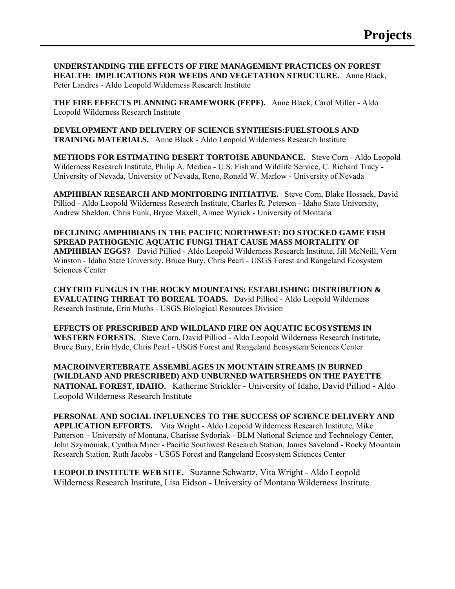**UNDERSTANDING THE EFFECTS OF FIRE MANAGEMENT PRACTICES ON FOREST HEALTH: IMPLICATIONS FOR WEEDS AND VEGETATION STRUCTURE.** Anne Black, Peter Landres - Aldo Leopold Wilderness Research Institute

**THE FIRE EFFECTS PLANNING FRAMEWORK (FEPF).** Anne Black, Carol Miller - Aldo Leopold Wilderness Research Institute

**DEVELOPMENT AND DELIVERY OF SCIENCE SYNTHESIS:FUELSTOOLS AND TRAINING MATERIALS.** Anne Black - Aldo Leopold Wilderness Research Institute

**METHODS FOR ESTIMATING DESERT TORTOISE ABUNDANCE.** Steve Corn - Aldo Leopold Wilderness Research Institute, Philip A. Medica - U.S. Fish and Wildlife Service, C. Richard Tracy - University of Nevada, University of Nevada, Reno, Ronald W. Marlow - University of Nevada

**AMPHIBIAN RESEARCH AND MONITORING INITIATIVE.** Steve Corn, Blake Hossack, David Pilliod - Aldo Leopold Wilderness Research Institute, Charles R. Peterson - Idaho State University, Andrew Sheldon, Chris Funk, Bryce Maxell, Aimee Wyrick - University of Montana

**DECLINING AMPHIBIANS IN THE PACIFIC NORTHWEST: DO STOCKED GAME FISH SPREAD PATHOGENIC AQUATIC FUNGI THAT CAUSE MASS MORTALITY OF AMPHIBIAN EGGS?** David Pilliod - Aldo Leopold Wilderness Research Institute, Jill McNeill, Vern Winston - Idaho State University, Bruce Bury, Chris Pearl - USGS Forest and Rangeland Ecosystem Sciences Center

**CHYTRID FUNGUS IN THE ROCKY MOUNTAINS: ESTABLISHING DISTRIBUTION & EVALUATING THREAT TO BOREAL TOADS.** David Pilliod - Aldo Leopold Wilderness Research Institute, Erin Muths - USGS Biological Resources Division

**EFFECTS OF PRESCRIBED AND WILDLAND FIRE ON AQUATIC ECOSYSTEMS IN WESTERN FORESTS.** Steve Corn, David Pilliod - Aldo Leopold Wilderness Research Institute, Bruce Bury, Erin Hyde, Chris Pearl - USGS Forest and Rangeland Ecosystem Sciences Center

**MACROINVERTEBRATE ASSEMBLAGES IN MOUNTAIN STREAMS IN BURNED (WILDLAND AND PRESCRIBED) AND UNBURNED WATERSHEDS ON THE PAYETTE NATIONAL FOREST, IDAHO.** Katherine Strickler - University of Idaho, David Pilliod - Aldo Leopold Wilderness Research Institute

**PERSONAL AND SOCIAL INFLUENCES TO THE SUCCESS OF SCIENCE DELIVERY AND APPLICATION EFFORTS.** Vita Wright - Aldo Leopold Wilderness Research Institute, Mike Patterson – University of Montana, Charisse Sydoriak - BLM National Science and Technology Center, John Szymoniak, Cynthia Miner - Pacific Southwest Research Station, James Saveland - Rocky Mountain Research Station, Ruth Jacobs - USGS Forest and Rangeland Ecosystem Sciences Center

**LEOPOLD INSTITUTE WEB SITE.** Suzanne Schwartz, Vita Wright - Aldo Leopold Wilderness Research Institute, Lisa Eidson - University of Montana Wilderness Institute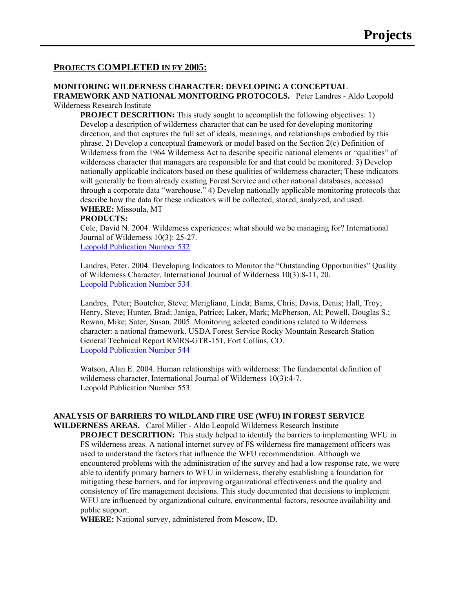#### **PROJECTS COMPLETED IN FY 2005:**

## **MONITORING WILDERNESS CHARACTER: DEVELOPING A CONCEPTUAL FRAMEWORK AND NATIONAL MONITORING PROTOCOLS.** Peter Landres - Aldo Leopold

Wilderness Research Institute

**PROJECT DESCRITION:** This study sought to accomplish the following objectives: 1) Develop a description of wilderness character that can be used for developing monitoring direction, and that captures the full set of ideals, meanings, and relationships embodied by this phrase. 2) Develop a conceptual framework or model based on the Section 2(c) Definition of Wilderness from the 1964 Wilderness Act to describe specific national elements or "qualities" of wilderness character that managers are responsible for and that could be monitored. 3) Develop nationally applicable indicators based on these qualities of wilderness character; These indicators will generally be from already existing Forest Service and other national databases, accessed through a corporate data "warehouse." 4) Develop nationally applicable monitoring protocols that describe how the data for these indicators will be collected, stored, analyzed, and used. **WHERE:** Missoula, MT

#### **PRODUCTS:**

Cole, David N. 2004. Wilderness experiences: what should we be managing for? International Journal of Wilderness 10(3): 25-27.

[Leopold Publication Number 532](http://leopold.wilderness.net/pubsResults.cfm?searchtype=publication&pub=722)

Landres, Peter. 2004. Developing Indicators to Monitor the "Outstanding Opportunities" Quality of Wilderness Character. International Journal of Wilderness 10(3):8-11, 20. [Leopold Publication Number 534](http://leopold.wilderness.net/pubsResults.cfm?searchtype=publication&pub=724)

Landres, Peter; Boutcher, Steve; Merigliano, Linda; Barns, Chris; Davis, Denis; Hall, Troy; Henry, Steve; Hunter, Brad; Janiga, Patrice; Laker, Mark; McPherson, Al; Powell, Douglas S.; Rowan, Mike; Sater, Susan. 2005. Monitoring selected conditions related to Wilderness character: a national framework. USDA Forest Service Rocky Mountain Research Station General Technical Report RMRS-GTR-151, Fort Collins, CO. [Leopold Publication Number 544](http://leopold.wilderness.net/pubsResults.cfm?searchtype=publication&pub=734)

Watson, Alan E. 2004. Human relationships with wilderness: The fundamental definition of wilderness character. International Journal of Wilderness 10(3):4-7. Leopold Publication Number 553.

#### **ANALYSIS OF BARRIERS TO WILDLAND FIRE USE (WFU) IN FOREST SERVICE**

**WILDERNESS AREAS.** Carol Miller - Aldo Leopold Wilderness Research Institute **PROJECT DESCRITION:** This study helped to identify the barriers to implementing WFU in FS wilderness areas. A national internet survey of FS wilderness fire management officers was used to understand the factors that influence the WFU recommendation. Although we encountered problems with the administration of the survey and had a low response rate, we were able to identify primary barriers to WFU in wilderness, thereby establishing a foundation for mitigating these barriers, and for improving organizational effectiveness and the quality and consistency of fire management decisions. This study documented that decisions to implement WFU are influenced by organizational culture, environmental factors, resource availability and public support.

**WHERE:** National survey, administered from Moscow, ID.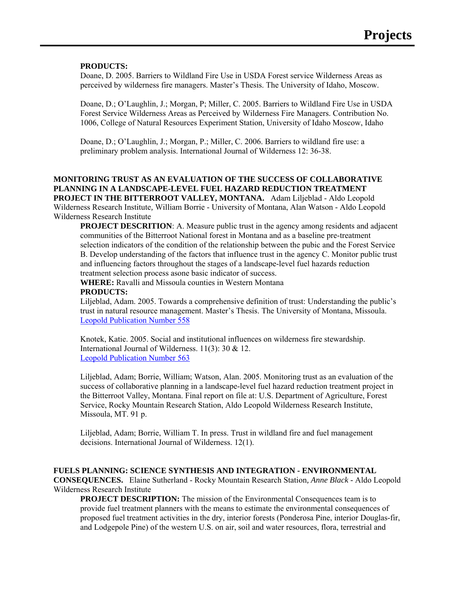#### **PRODUCTS:**

Doane, D. 2005. Barriers to Wildland Fire Use in USDA Forest service Wilderness Areas as perceived by wilderness fire managers. Master's Thesis. The University of Idaho, Moscow.

Doane, D.; O'Laughlin, J.; Morgan, P; Miller, C. 2005. Barriers to Wildland Fire Use in USDA Forest Service Wilderness Areas as Perceived by Wilderness Fire Managers. Contribution No. 1006, College of Natural Resources Experiment Station, University of Idaho Moscow, Idaho

Doane, D.; O'Laughlin, J.; Morgan, P.; Miller, C. 2006. Barriers to wildland fire use: a preliminary problem analysis. International Journal of Wilderness 12: 36-38.

#### **MONITORING TRUST AS AN EVALUATION OF THE SUCCESS OF COLLABORATIVE PLANNING IN A LANDSCAPE-LEVEL FUEL HAZARD REDUCTION TREATMENT PROJECT IN THE BITTERROOT VALLEY, MONTANA.** Adam Liljeblad - Aldo Leopold Wilderness Research Institute*,* William Borrie - University of Montana, Alan Watson - Aldo Leopold Wilderness Research Institute

**PROJECT DESCRITION:** A. Measure public trust in the agency among residents and adjacent communities of the Bitterroot National forest in Montana and as a baseline pre-treatment selection indicators of the condition of the relationship between the pubic and the Forest Service B. Develop understanding of the factors that influence trust in the agency C. Monitor public trust and influencing factors throughout the stages of a landscape-level fuel hazards reduction treatment selection process asone basic indicator of success.

**WHERE:** Ravalli and Missoula counties in Western Montana **PRODUCTS:** 

Liljeblad, Adam. 2005. Towards a comprehensive definition of trust: Understanding the public's trust in natural resource management. Master's Thesis. The University of Montana, Missoula. [Leopold Publication Number 558](http://leopold.wilderness.net/pubsResults.cfm?searchtype=publication&pub=751)

Knotek, Katie. 2005. Social and institutional influences on wilderness fire stewardship. International Journal of Wilderness. 11(3): 30 & 12. [Leopold Publication Number 563](http://leopold.wilderness.net/pubsResults.cfm?searchtype=publication&pub=756)

Liljeblad, Adam; Borrie, William; Watson, Alan. 2005. Monitoring trust as an evaluation of the success of collaborative planning in a landscape-level fuel hazard reduction treatment project in the Bitterroot Valley, Montana. Final report on file at: U.S. Department of Agriculture, Forest Service, Rocky Mountain Research Station, Aldo Leopold Wilderness Research Institute, Missoula, MT. 91 p.

Liljeblad, Adam; Borrie, William T. In press. Trust in wildland fire and fuel management decisions. International Journal of Wilderness. 12(1).

#### **FUELS PLANNING: SCIENCE SYNTHESIS AND INTEGRATION - ENVIRONMENTAL**

**CONSEQUENCES.** Elaine Sutherland - Rocky Mountain Research Station*, Anne Black -* Aldo Leopold Wilderness Research Institute

**PROJECT DESCRIPTION:** The mission of the Environmental Consequences team is to provide fuel treatment planners with the means to estimate the environmental consequences of proposed fuel treatment activities in the dry, interior forests (Ponderosa Pine, interior Douglas-fir, and Lodgepole Pine) of the western U.S. on air, soil and water resources, flora, terrestrial and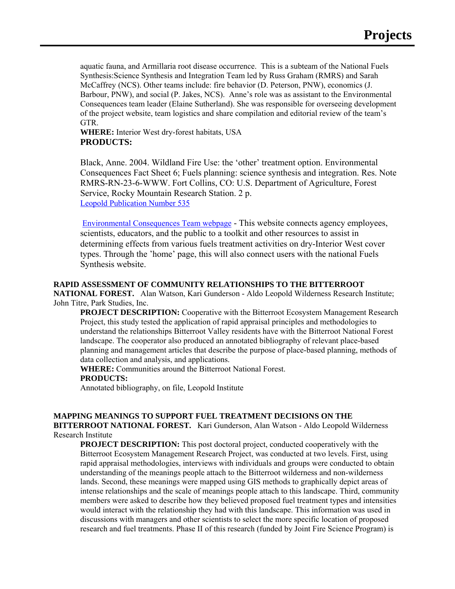aquatic fauna, and Armillaria root disease occurrence. This is a subteam of the National Fuels Synthesis:Science Synthesis and Integration Team led by Russ Graham (RMRS) and Sarah McCaffrey (NCS). Other teams include: fire behavior (D. Peterson, PNW), economics (J. Barbour, PNW), and social (P. Jakes, NCS). Anne's role was as assistant to the Environmental Consequences team leader (Elaine Sutherland). She was responsible for overseeing development of the project website, team logistics and share compilation and editorial review of the team's GTR.

**WHERE:** Interior West dry-forest habitats, USA **PRODUCTS:** 

Black, Anne. 2004. Wildland Fire Use: the 'other' treatment option. Environmental Consequences Fact Sheet 6; Fuels planning: science synthesis and integration. Res. Note RMRS-RN-23-6-WWW. Fort Collins, CO: U.S. Department of Agriculture, Forest Service, Rocky Mountain Research Station. 2 p. [Leopold Publication Number 535](http://leopold.wilderness.net/pubsResults.cfm?searchtype=publication&pub=725)

[Environmental Consequences Team webpage](http://forest.moscowfsl.wsu.edu/fuels/) - This website connects agency employees, scientists, educators, and the public to a toolkit and other resources to assist in determining effects from various fuels treatment activities on dry-Interior West cover types. Through the 'home' page, this will also connect users with the national Fuels Synthesis website.

#### **RAPID ASSESSMENT OF COMMUNITY RELATIONSHIPS TO THE BITTERROOT**

**NATIONAL FOREST.** Alan Watson, Kari Gunderson - Aldo Leopold Wilderness Research Institute; John Titre, Park Studies, Inc.

**PROJECT DESCRIPTION:** Cooperative with the Bitterroot Ecosystem Management Research Project, this study tested the application of rapid appraisal principles and methodologies to understand the relationships Bitterroot Valley residents have with the Bitterroot National Forest landscape. The cooperator also produced an annotated bibliography of relevant place-based planning and management articles that describe the purpose of place-based planning, methods of data collection and analysis, and applications.

**WHERE:** Communities around the Bitterroot National Forest. **PRODUCTS:** 

Annotated bibliography, on file, Leopold Institute

#### **MAPPING MEANINGS TO SUPPORT FUEL TREATMENT DECISIONS ON THE BITTERROOT NATIONAL FOREST.** Kari Gunderson, Alan Watson - Aldo Leopold Wilderness Research Institute

**PROJECT DESCRIPTION:** This post doctoral project, conducted cooperatively with the Bitterroot Ecosystem Management Research Project, was conducted at two levels. First, using rapid appraisal methodologies, interviews with individuals and groups were conducted to obtain understanding of the meanings people attach to the Bitterroot wilderness and non-wilderness lands. Second, these meanings were mapped using GIS methods to graphically depict areas of intense relationships and the scale of meanings people attach to this landscape. Third, community members were asked to describe how they believed proposed fuel treatment types and intensities would interact with the relationship they had with this landscape. This information was used in discussions with managers and other scientists to select the more specific location of proposed research and fuel treatments. Phase II of this research (funded by Joint Fire Science Program) is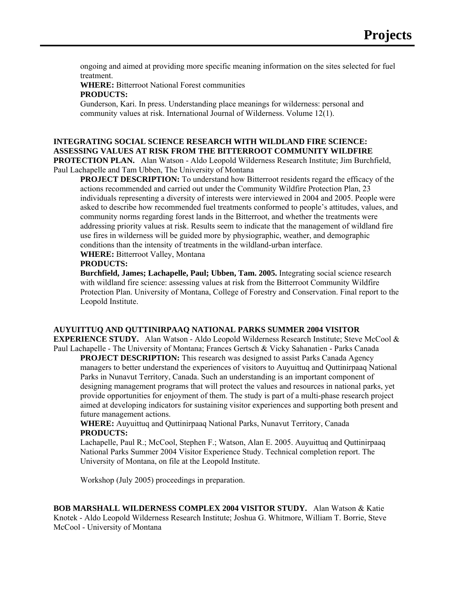ongoing and aimed at providing more specific meaning information on the sites selected for fuel treatment.

**WHERE:** Bitterroot National Forest communities **PRODUCTS:** 

Gunderson, Kari. In press. Understanding place meanings for wilderness: personal and community values at risk. International Journal of Wilderness. Volume 12(1).

## **INTEGRATING SOCIAL SCIENCE RESEARCH WITH WILDLAND FIRE SCIENCE: ASSESSING VALUES AT RISK FROM THE BITTERROOT COMMUNITY WILDFIRE**

**PROTECTION PLAN.** Alan Watson - Aldo Leopold Wilderness Research Institute; Jim Burchfield, Paul Lachapelle and Tam Ubben, The University of Montana

**PROJECT DESCRIPTION:** To understand how Bitterroot residents regard the efficacy of the actions recommended and carried out under the Community Wildfire Protection Plan, 23 individuals representing a diversity of interests were interviewed in 2004 and 2005. People were asked to describe how recommended fuel treatments conformed to people's attitudes, values, and community norms regarding forest lands in the Bitterroot, and whether the treatments were addressing priority values at risk. Results seem to indicate that the management of wildland fire use fires in wilderness will be guided more by physiographic, weather, and demographic conditions than the intensity of treatments in the wildland-urban interface.

**WHERE:** Bitterroot Valley, Montana

#### **PRODUCTS:**

**Burchfield, James; Lachapelle, Paul; Ubben, Tam. 2005.** Integrating social science research with wildland fire science: assessing values at risk from the Bitterroot Community Wildfire Protection Plan. University of Montana, College of Forestry and Conservation. Final report to the Leopold Institute.

#### **AUYUITTUQ AND QUTTINIRPAAQ NATIONAL PARKS SUMMER 2004 VISITOR**

**EXPERIENCE STUDY.** Alan Watson - Aldo Leopold Wilderness Research Institute; Steve McCool & Paul Lachapelle - The University of Montana; Frances Gertsch & Vicky Sahanatien - Parks Canada

**PROJECT DESCRIPTION:** This research was designed to assist Parks Canada Agency managers to better understand the experiences of visitors to Auyuittuq and Quttinirpaaq National Parks in Nunavut Territory, Canada. Such an understanding is an important component of designing management programs that will protect the values and resources in national parks, yet provide opportunities for enjoyment of them. The study is part of a multi-phase research project aimed at developing indicators for sustaining visitor experiences and supporting both present and future management actions.

**WHERE:** Auyuittuq and Quttinirpaaq National Parks, Nunavut Territory, Canada **PRODUCTS:** 

Lachapelle, Paul R.; McCool, Stephen F.; Watson, Alan E. 2005. Auyuittuq and Quttinirpaaq National Parks Summer 2004 Visitor Experience Study. Technical completion report. The University of Montana, on file at the Leopold Institute.

Workshop (July 2005) proceedings in preparation.

**BOB MARSHALL WILDERNESS COMPLEX 2004 VISITOR STUDY.** Alan Watson & Katie Knotek - Aldo Leopold Wilderness Research Institute; Joshua G. Whitmore, William T. Borrie, Steve McCool - University of Montana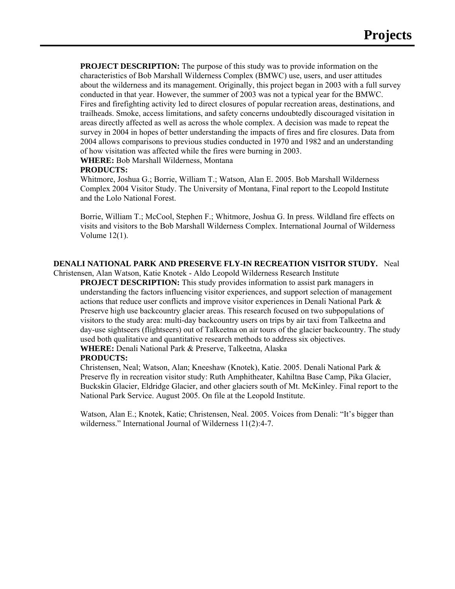**PROJECT DESCRIPTION:** The purpose of this study was to provide information on the characteristics of Bob Marshall Wilderness Complex (BMWC) use, users, and user attitudes about the wilderness and its management. Originally, this project began in 2003 with a full survey conducted in that year. However, the summer of 2003 was not a typical year for the BMWC. Fires and firefighting activity led to direct closures of popular recreation areas, destinations, and trailheads. Smoke, access limitations, and safety concerns undoubtedly discouraged visitation in areas directly affected as well as across the whole complex. A decision was made to repeat the survey in 2004 in hopes of better understanding the impacts of fires and fire closures. Data from 2004 allows comparisons to previous studies conducted in 1970 and 1982 and an understanding of how visitation was affected while the fires were burning in 2003.

**WHERE:** Bob Marshall Wilderness, Montana

#### **PRODUCTS:**

Whitmore, Joshua G.; Borrie, William T.; Watson, Alan E. 2005. Bob Marshall Wilderness Complex 2004 Visitor Study. The University of Montana, Final report to the Leopold Institute and the Lolo National Forest.

Borrie, William T.; McCool, Stephen F.; Whitmore, Joshua G. In press. Wildland fire effects on visits and visitors to the Bob Marshall Wilderness Complex. International Journal of Wilderness Volume 12(1).

## **DENALI NATIONAL PARK AND PRESERVE FLY-IN RECREATION VISITOR STUDY.** Neal

Christensen, Alan Watson, Katie Knotek - Aldo Leopold Wilderness Research Institute

**PROJECT DESCRIPTION:** This study provides information to assist park managers in understanding the factors influencing visitor experiences, and support selection of management actions that reduce user conflicts and improve visitor experiences in Denali National Park & Preserve high use backcountry glacier areas. This research focused on two subpopulations of visitors to the study area: multi-day backcountry users on trips by air taxi from Talkeetna and day-use sightseers (flightseers) out of Talkeetna on air tours of the glacier backcountry. The study used both qualitative and quantitative research methods to address six objectives. **WHERE:** Denali National Park & Preserve, Talkeetna, Alaska

#### **PRODUCTS:**

Christensen, Neal; Watson, Alan; Kneeshaw (Knotek), Katie. 2005. Denali National Park & Preserve fly in recreation visitor study: Ruth Amphitheater, Kahiltna Base Camp, Pika Glacier, Buckskin Glacier, Eldridge Glacier, and other glaciers south of Mt. McKinley. Final report to the National Park Service. August 2005. On file at the Leopold Institute.

Watson, Alan E.; Knotek, Katie; Christensen, Neal. 2005. Voices from Denali: "It's bigger than wilderness." International Journal of Wilderness 11(2):4-7.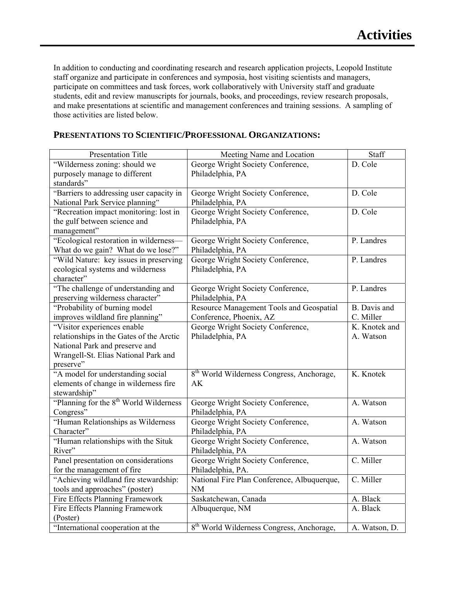In addition to conducting and coordinating research and research application projects, Leopold Institute staff organize and participate in conferences and symposia, host visiting scientists and managers, participate on committees and task forces, work collaboratively with University staff and graduate students, edit and review manuscripts for journals, books, and proceedings, review research proposals, and make presentations at scientific and management conferences and training sessions. A sampling of those activities are listed below.

| Presentation Title                                 | Meeting Name and Location                             | Staff         |
|----------------------------------------------------|-------------------------------------------------------|---------------|
| "Wilderness zoning: should we                      | George Wright Society Conference,                     | D. Cole       |
| purposely manage to different                      | Philadelphia, PA                                      |               |
| standards"                                         |                                                       |               |
| "Barriers to addressing user capacity in           | George Wright Society Conference,                     | D. Cole       |
| National Park Service planning"                    | Philadelphia, PA                                      |               |
| "Recreation impact monitoring: lost in             | George Wright Society Conference,                     | D. Cole       |
| the gulf between science and                       | Philadelphia, PA                                      |               |
| management"                                        |                                                       |               |
| "Ecological restoration in wilderness-             | George Wright Society Conference,                     | P. Landres    |
| What do we gain? What do we lose?"                 | Philadelphia, PA                                      |               |
| "Wild Nature: key issues in preserving             | George Wright Society Conference,                     | P. Landres    |
| ecological systems and wilderness                  | Philadelphia, PA                                      |               |
| character"                                         |                                                       |               |
| "The challenge of understanding and                | George Wright Society Conference,                     | P. Landres    |
| preserving wilderness character"                   | Philadelphia, PA                                      |               |
| "Probability of burning model                      | Resource Management Tools and Geospatial              | B. Davis and  |
| improves wildland fire planning"                   | Conference, Phoenix, AZ                               | C. Miller     |
| "Visitor experiences enable                        | George Wright Society Conference,                     | K. Knotek and |
| relationships in the Gates of the Arctic           | Philadelphia, PA                                      | A. Watson     |
| National Park and preserve and                     |                                                       |               |
| Wrangell-St. Elias National Park and               |                                                       |               |
| preserve"                                          |                                                       |               |
| "A model for understanding social                  | 8 <sup>th</sup> World Wilderness Congress, Anchorage, | K. Knotek     |
| elements of change in wilderness fire              | AK                                                    |               |
| stewardship"                                       |                                                       |               |
| "Planning for the 8 <sup>th</sup> World Wilderness | George Wright Society Conference,                     | A. Watson     |
| Congress"                                          | Philadelphia, PA                                      |               |
| "Human Relationships as Wilderness                 | George Wright Society Conference,                     | A. Watson     |
| Character"                                         | Philadelphia, PA                                      |               |
| "Human relationships with the Situk                | George Wright Society Conference,                     | A. Watson     |
| River"                                             | Philadelphia, PA                                      |               |
| Panel presentation on considerations               | George Wright Society Conference,                     | C. Miller     |
| for the management of fire                         | Philadelphia, PA.                                     |               |
| "Achieving wildland fire stewardship:              | National Fire Plan Conference, Albuquerque,           | C. Miller     |
| tools and approaches" (poster)                     | <b>NM</b>                                             |               |
| Fire Effects Planning Framework                    | Saskatchewan, Canada                                  | A. Black      |
| Fire Effects Planning Framework                    | Albuquerque, NM                                       | A. Black      |
| (Poster)                                           |                                                       |               |
| "International cooperation at the                  | 8 <sup>th</sup> World Wilderness Congress, Anchorage, | A. Watson, D. |

#### **PRESENTATIONS TO SCIENTIFIC/PROFESSIONAL ORGANIZATIONS:**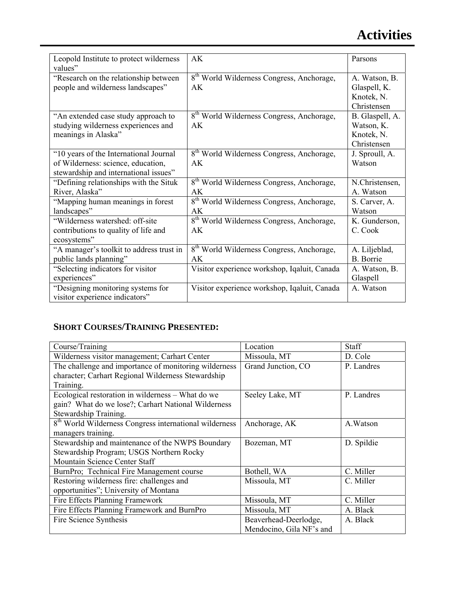## **Activities**

| Leopold Institute to protect wilderness  | AK                                                    | Parsons         |
|------------------------------------------|-------------------------------------------------------|-----------------|
| values"                                  |                                                       |                 |
| "Research on the relationship between    | 8 <sup>th</sup> World Wilderness Congress, Anchorage, | A. Watson, B.   |
| people and wilderness landscapes"        | AK                                                    | Glaspell, K.    |
|                                          |                                                       | Knotek, N.      |
|                                          |                                                       | Christensen     |
| "An extended case study approach to      | 8 <sup>th</sup> World Wilderness Congress, Anchorage, | B. Glaspell, A. |
| studying wilderness experiences and      | AK                                                    | Watson, K.      |
| meanings in Alaska"                      |                                                       | Knotek, N.      |
|                                          |                                                       | Christensen     |
| "10 years of the International Journal   | 8 <sup>th</sup> World Wilderness Congress, Anchorage, | J. Sproull, A.  |
| of Wilderness: science, education,       | AK                                                    | Watson          |
| stewardship and international issues"    |                                                       |                 |
| "Defining relationships with the Situk   | 8 <sup>th</sup> World Wilderness Congress, Anchorage, | N.Christensen,  |
| River, Alaska"                           | AK                                                    | A. Watson       |
| "Mapping human meanings in forest        | 8 <sup>th</sup> World Wilderness Congress, Anchorage, | S. Carver, A.   |
| landscapes"                              | AK                                                    | Watson          |
| "Wilderness watershed: off-site          | 8 <sup>th</sup> World Wilderness Congress, Anchorage, | K. Gunderson,   |
| contributions to quality of life and     | AK                                                    | C. Cook         |
| ecosystems"                              |                                                       |                 |
| "A manager's toolkit to address trust in | 8 <sup>th</sup> World Wilderness Congress, Anchorage, | A. Liljeblad,   |
| public lands planning"                   | AK.                                                   | B. Borrie       |
| "Selecting indicators for visitor"       | Visitor experience workshop, Iqaluit, Canada          | A. Watson, B.   |
| experiences"                             |                                                       | Glaspell        |
| "Designing monitoring systems for        | Visitor experience workshop, Iqaluit, Canada          | A. Watson       |
| visitor experience indicators"           |                                                       |                 |

## **SHORT COURSES/TRAINING PRESENTED:**

| Course/Training                                                    | Location                 | Staff      |
|--------------------------------------------------------------------|--------------------------|------------|
| Wilderness visitor management; Carhart Center                      | Missoula, MT             | D. Cole    |
| The challenge and importance of monitoring wilderness              | Grand Junction, CO       | P. Landres |
| character; Carhart Regional Wilderness Stewardship                 |                          |            |
| Training.                                                          |                          |            |
| Ecological restoration in wilderness – What do we                  | Seeley Lake, MT          | P. Landres |
| gain? What do we lose?; Carhart National Wilderness                |                          |            |
| Stewardship Training.                                              |                          |            |
| 8 <sup>th</sup> World Wilderness Congress international wilderness | Anchorage, AK            | A.Watson   |
| managers training.                                                 |                          |            |
| Stewardship and maintenance of the NWPS Boundary                   | Bozeman, MT              | D. Spildie |
| Stewardship Program; USGS Northern Rocky                           |                          |            |
| Mountain Science Center Staff                                      |                          |            |
| BurnPro; Technical Fire Management course                          | Bothell, WA              | C. Miller  |
| Restoring wilderness fire: challenges and                          | Missoula, MT             | C. Miller  |
| opportunities"; University of Montana                              |                          |            |
| Fire Effects Planning Framework                                    | Missoula, MT             | C. Miller  |
| Fire Effects Planning Framework and BurnPro                        | Missoula, MT             | A. Black   |
| Fire Science Synthesis                                             | Beaverhead-Deerlodge,    | A. Black   |
|                                                                    | Mendocino, Gila NF's and |            |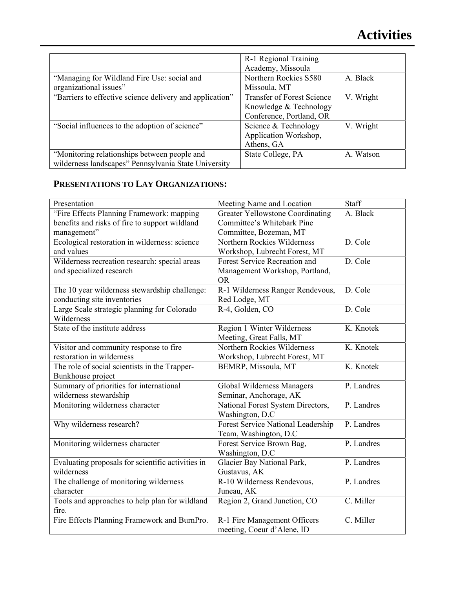|                                                          | R-1 Regional Training             |           |
|----------------------------------------------------------|-----------------------------------|-----------|
|                                                          | Academy, Missoula                 |           |
| "Managing for Wildland Fire Use: social and              | Northern Rockies S580             | A. Black  |
| organizational issues"                                   | Missoula, MT                      |           |
| "Barriers to effective science delivery and application" | <b>Transfer of Forest Science</b> | V. Wright |
|                                                          | Knowledge & Technology            |           |
|                                                          | Conference, Portland, OR          |           |
| "Social influences to the adoption of science"           | Science & Technology              | V. Wright |
|                                                          | Application Workshop,             |           |
|                                                          | Athens, GA                        |           |
| "Monitoring relationships between people and             | State College, PA                 | A. Watson |
| wilderness landscapes" Pennsylvania State University     |                                   |           |

## **PRESENTATIONS TO LAY ORGANIZATIONS:**

| Presentation                                      | Meeting Name and Location               | Staff      |
|---------------------------------------------------|-----------------------------------------|------------|
| "Fire Effects Planning Framework: mapping         | <b>Greater Yellowstone Coordinating</b> | A. Black   |
| benefits and risks of fire to support wildland    | Committee's Whitebark Pine              |            |
| management"                                       | Committee, Bozeman, MT                  |            |
| Ecological restoration in wilderness: science     | Northern Rockies Wilderness             | D. Cole    |
| and values                                        | Workshop, Lubrecht Forest, MT           |            |
| Wilderness recreation research: special areas     | Forest Service Recreation and           | D. Cole    |
| and specialized research                          | Management Workshop, Portland,          |            |
|                                                   | <b>OR</b>                               |            |
| The 10 year wilderness stewardship challenge:     | R-1 Wilderness Ranger Rendevous,        | D. Cole    |
| conducting site inventories                       | Red Lodge, MT                           |            |
| Large Scale strategic planning for Colorado       | R-4, Golden, CO                         | D. Cole    |
| Wilderness                                        |                                         |            |
| State of the institute address                    | Region 1 Winter Wilderness              | K. Knotek  |
|                                                   | Meeting, Great Falls, MT                |            |
| Visitor and community response to fire            | Northern Rockies Wilderness             | K. Knotek  |
| restoration in wilderness                         | Workshop, Lubrecht Forest, MT           |            |
| The role of social scientists in the Trapper-     | BEMRP, Missoula, MT                     | K. Knotek  |
| Bunkhouse project                                 |                                         |            |
| Summary of priorities for international           | Global Wilderness Managers              | P. Landres |
| wilderness stewardship                            | Seminar, Anchorage, AK                  |            |
| Monitoring wilderness character                   | National Forest System Directors,       | P. Landres |
|                                                   | Washington, D.C                         |            |
| Why wilderness research?                          | Forest Service National Leadership      | P. Landres |
|                                                   | Team, Washington, D.C.                  |            |
| Monitoring wilderness character                   | Forest Service Brown Bag,               | P. Landres |
|                                                   | Washington, D.C                         |            |
| Evaluating proposals for scientific activities in | Glacier Bay National Park,              | P. Landres |
| wilderness                                        | Gustavus, AK                            |            |
| The challenge of monitoring wilderness            | R-10 Wilderness Rendevous,              | P. Landres |
| character                                         | Juneau, AK                              |            |
| Tools and approaches to help plan for wildland    | Region 2, Grand Junction, CO            | C. Miller  |
| fire.                                             |                                         |            |
| Fire Effects Planning Framework and BurnPro.      | R-1 Fire Management Officers            | C. Miller  |
|                                                   | meeting, Coeur d'Alene, ID              |            |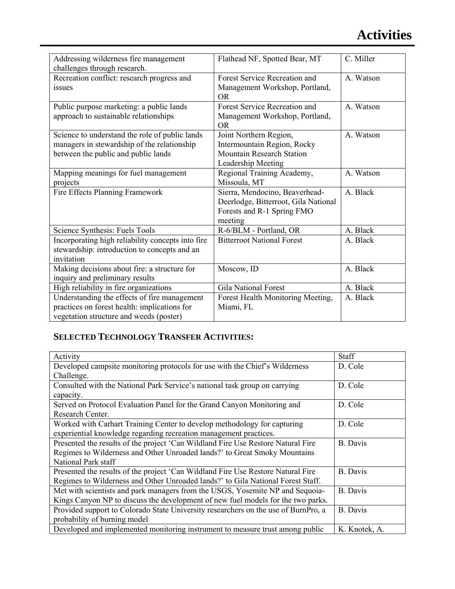## **Activities**

| Addressing wilderness fire management<br>challenges through research.                                                                   | Flathead NF, Spotted Bear, MT                                                                                   | C. Miller |
|-----------------------------------------------------------------------------------------------------------------------------------------|-----------------------------------------------------------------------------------------------------------------|-----------|
| Recreation conflict: research progress and<br>issues                                                                                    | Forest Service Recreation and<br>Management Workshop, Portland,<br><b>OR</b>                                    | A. Watson |
| Public purpose marketing: a public lands<br>approach to sustainable relationships                                                       | Forest Service Recreation and<br>Management Workshop, Portland,<br><b>OR</b>                                    | A. Watson |
| Science to understand the role of public lands<br>managers in stewardship of the relationship<br>between the public and public lands    | Joint Northern Region,<br>Intermountain Region, Rocky<br><b>Mountain Research Station</b><br>Leadership Meeting | A. Watson |
| Mapping meanings for fuel management<br>projects                                                                                        | Regional Training Academy,<br>Missoula, MT                                                                      | A. Watson |
| Fire Effects Planning Framework                                                                                                         | Sierra, Mendocino, Beaverhead-<br>Deerlodge, Bitterroot, Gila National<br>Forests and R-1 Spring FMO<br>meeting | A. Black  |
| Science Synthesis: Fuels Tools                                                                                                          | R-6/BLM - Portland, OR                                                                                          | A. Black  |
| Incorporating high reliability concepts into fire<br>stewardship: introduction to concepts and an<br>invitation                         | <b>Bitterroot National Forest</b>                                                                               | A. Black  |
| Making decisions about fire: a structure for<br>inquiry and preliminary results                                                         | Moscow, ID                                                                                                      | A. Black  |
| High reliability in fire organizations                                                                                                  | <b>Gila National Forest</b>                                                                                     | A. Black  |
| Understanding the effects of fire management<br>practices on forest health: implications for<br>vegetation structure and weeds (poster) | Forest Health Monitoring Meeting,<br>Miami, FL                                                                  | A. Black  |

## **SELECTED TECHNOLOGY TRANSFER ACTIVITIES:**

| Activity                                                                           | Staff           |
|------------------------------------------------------------------------------------|-----------------|
| Developed campsite monitoring protocols for use with the Chief's Wilderness        | D. Cole         |
| Challenge.                                                                         |                 |
| Consulted with the National Park Service's national task group on carrying         | D. Cole         |
| capacity.                                                                          |                 |
| Served on Protocol Evaluation Panel for the Grand Canyon Monitoring and            | D. Cole         |
| Research Center.                                                                   |                 |
| Worked with Carhart Training Center to develop methodology for capturing           | D. Cole         |
| experiential knowledge regarding recreation management practices.                  |                 |
| Presented the results of the project 'Can Wildland Fire Use Restore Natural Fire   | <b>B.</b> Davis |
| Regimes to Wilderness and Other Unroaded lands?' to Great Smoky Mountains          |                 |
| National Park staff                                                                |                 |
| Presented the results of the project 'Can Wildland Fire Use Restore Natural Fire   | <b>B.</b> Davis |
| Regimes to Wilderness and Other Unroaded lands?' to Gila National Forest Staff.    |                 |
| Met with scientists and park managers from the USGS, Yosemite NP and Sequoia-      | <b>B.</b> Davis |
| Kings Canyon NP to discuss the development of new fuel models for the two parks.   |                 |
| Provided support to Colorado State University researchers on the use of BurnPro, a | <b>B.</b> Davis |
| probability of burning model                                                       |                 |
| Developed and implemented monitoring instrument to measure trust among public      | K. Knotek, A.   |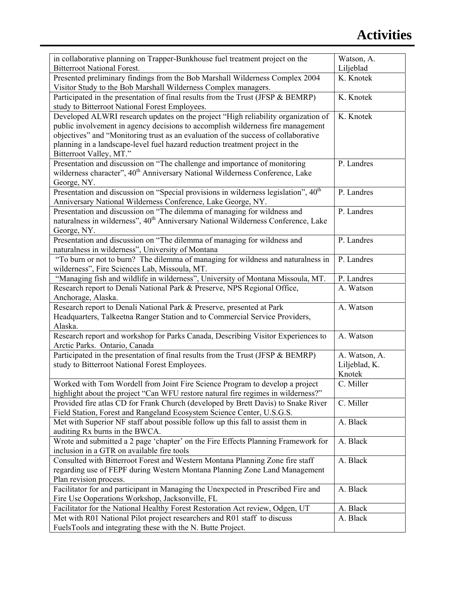| in collaborative planning on Trapper-Bunkhouse fuel treatment project on the<br><b>Bitterroot National Forest.</b>                                                                                                                                                                                                                                                    | Watson, A.<br>Liljeblad                  |
|-----------------------------------------------------------------------------------------------------------------------------------------------------------------------------------------------------------------------------------------------------------------------------------------------------------------------------------------------------------------------|------------------------------------------|
| Presented preliminary findings from the Bob Marshall Wilderness Complex 2004                                                                                                                                                                                                                                                                                          | K. Knotek                                |
| Visitor Study to the Bob Marshall Wilderness Complex managers.                                                                                                                                                                                                                                                                                                        |                                          |
| Participated in the presentation of final results from the Trust (JFSP & BEMRP)<br>study to Bitterroot National Forest Employees.                                                                                                                                                                                                                                     | K. Knotek                                |
| Developed ALWRI research updates on the project "High reliability organization of<br>public involvement in agency decisions to accomplish wilderness fire management<br>objectives" and "Monitoring trust as an evaluation of the success of collaborative<br>planning in a landscape-level fuel hazard reduction treatment project in the<br>Bitterroot Valley, MT." | K. Knotek                                |
| Presentation and discussion on "The challenge and importance of monitoring<br>wilderness character", 40 <sup>th</sup> Anniversary National Wilderness Conference, Lake<br>George, NY.                                                                                                                                                                                 | P. Landres                               |
| Presentation and discussion on "Special provisions in wilderness legislation", 40 <sup>th</sup><br>Anniversary National Wilderness Conference, Lake George, NY.                                                                                                                                                                                                       | P. Landres                               |
| Presentation and discussion on "The dilemma of managing for wildness and<br>naturalness in wilderness", 40 <sup>th</sup> Anniversary National Wilderness Conference, Lake<br>George, NY.                                                                                                                                                                              | P. Landres                               |
| Presentation and discussion on "The dilemma of managing for wildness and<br>naturalness in wilderness", University of Montana                                                                                                                                                                                                                                         | P. Landres                               |
| "To burn or not to burn? The dilemma of managing for wildness and naturalness in<br>wilderness", Fire Sciences Lab, Missoula, MT.                                                                                                                                                                                                                                     | P. Landres                               |
| "Managing fish and wildlife in wilderness", University of Montana Missoula, MT.                                                                                                                                                                                                                                                                                       | P. Landres                               |
| Research report to Denali National Park & Preserve, NPS Regional Office,<br>Anchorage, Alaska.                                                                                                                                                                                                                                                                        | A. Watson                                |
| Research report to Denali National Park & Preserve, presented at Park<br>Headquarters, Talkeetna Ranger Station and to Commercial Service Providers,<br>Alaska.                                                                                                                                                                                                       | A. Watson                                |
| Research report and workshop for Parks Canada, Describing Visitor Experiences to<br>Arctic Parks. Ontario, Canada                                                                                                                                                                                                                                                     | A. Watson                                |
| Participated in the presentation of final results from the Trust (JFSP & BEMRP)<br>study to Bitterroot National Forest Employees.                                                                                                                                                                                                                                     | A. Watson, A.<br>Liljeblad, K.<br>Knotek |
| Worked with Tom Wordell from Joint Fire Science Program to develop a project<br>highlight about the project "Can WFU restore natural fire regimes in wilderness?"                                                                                                                                                                                                     | C. Miller                                |
| Provided fire atlas CD for Frank Church (developed by Brett Davis) to Snake River<br>Field Station, Forest and Rangeland Ecosystem Science Center, U.S.G.S.                                                                                                                                                                                                           | C. Miller                                |
| Met with Superior NF staff about possible follow up this fall to assist them in<br>auditing Rx burns in the BWCA.                                                                                                                                                                                                                                                     | A. Black                                 |
| Wrote and submitted a 2 page 'chapter' on the Fire Effects Planning Framework for<br>inclusion in a GTR on available fire tools                                                                                                                                                                                                                                       | A. Black                                 |
| Consulted with Bitterroot Forest and Western Montana Planning Zone fire staff<br>regarding use of FEPF during Western Montana Planning Zone Land Management<br>Plan revision process.                                                                                                                                                                                 | A. Black                                 |
| Facilitator for and participant in Managing the Unexpected in Prescribed Fire and<br>Fire Use Ooperations Workshop, Jacksonville, FL                                                                                                                                                                                                                                  | A. Black                                 |
| Facilitator for the National Healthy Forest Restoration Act review, Odgen, UT                                                                                                                                                                                                                                                                                         | A. Black                                 |
| Met with R01 National Pilot project researchers and R01 staff to discuss<br>FuelsTools and integrating these with the N. Butte Project.                                                                                                                                                                                                                               | A. Black                                 |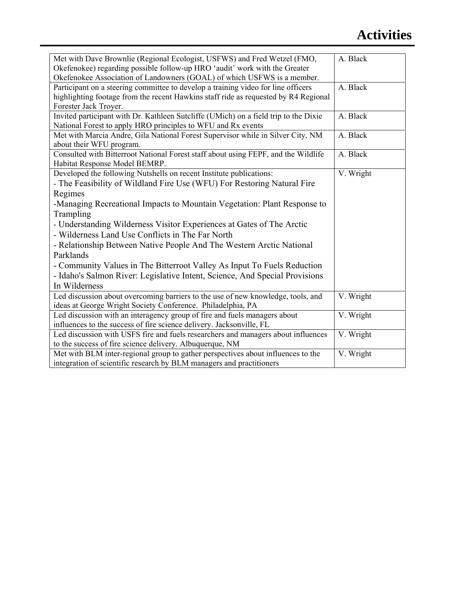## **Activities**

| Met with Dave Brownlie (Regional Ecologist, USFWS) and Fred Wetzel (FMO,             | A. Black  |
|--------------------------------------------------------------------------------------|-----------|
| Okefenokee) regarding possible follow-up HRO 'audit' work with the Greater           |           |
| Okefenokee Association of Landowners (GOAL) of which USFWS is a member.              |           |
| Participant on a steering committee to develop a training video for line officers    | A. Black  |
| highlighting footage from the recent Hawkins staff ride as requested by R4 Regional  |           |
| Forester Jack Troyer.                                                                |           |
| Invited participant with Dr. Kathleen Sutcliffe (UMich) on a field trip to the Dixie | A. Black  |
| National Forest to apply HRO principles to WFU and Rx events                         |           |
| Met with Marcia Andre, Gila National Forest Supervisor while in Silver City, NM      | A. Black  |
| about their WFU program.                                                             |           |
| Consulted with Bitterroot National Forest staff about using FEPF, and the Wildlife   | A. Black  |
| Habitat Response Model BEMRP.                                                        |           |
| Developed the following Nutshells on recent Institute publications:                  | V. Wright |
| - The Feasibility of Wildland Fire Use (WFU) For Restoring Natural Fire              |           |
| Regimes                                                                              |           |
| -Managing Recreational Impacts to Mountain Vegetation: Plant Response to             |           |
| Trampling                                                                            |           |
| - Understanding Wilderness Visitor Experiences at Gates of The Arctic                |           |
| - Wilderness Land Use Conflicts in The Far North                                     |           |
| - Relationship Between Native People And The Western Arctic National                 |           |
| Parklands                                                                            |           |
| - Community Values in The Bitterroot Valley As Input To Fuels Reduction              |           |
| - Idaho's Salmon River: Legislative Intent, Science, And Special Provisions          |           |
| In Wilderness                                                                        |           |
| Led discussion about overcoming barriers to the use of new knowledge, tools, and     | V. Wright |
| ideas at George Wright Society Conference. Philadelphia, PA                          |           |
| Led discussion with an interagency group of fire and fuels managers about            | V. Wright |
| influences to the success of fire science delivery. Jacksonville, FL                 |           |
| Led discussion with USFS fire and fuels researchers and managers about influences    | V. Wright |
| to the success of fire science delivery. Albuquerque, NM                             |           |
| Met with BLM inter-regional group to gather perspectives about influences to the     | V. Wright |
| integration of scientific research by BLM managers and practitioners                 |           |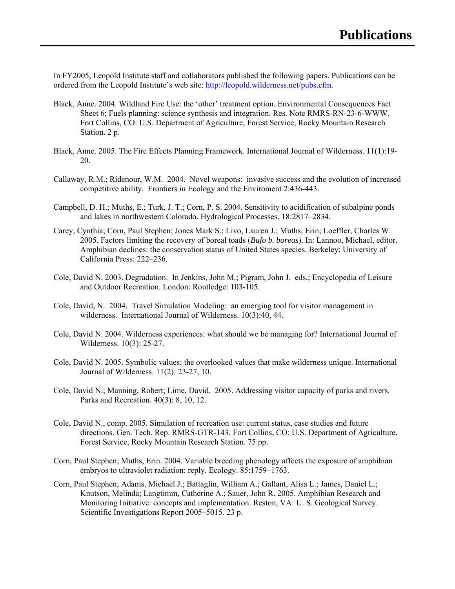In FY2005, Leopold Institute staff and collaborators published the following papers. Publications can be ordered from the Leopold Institute's web site: [http://leopold.wilderness.net/pubs.cfm.](http://leopold.wilderness.net/pubs.cfm)

- Black, Anne. 2004. Wildland Fire Use: the 'other' treatment option. Environmental Consequences Fact Sheet 6; Fuels planning: science synthesis and integration. Res. Note RMRS-RN-23-6-WWW. Fort Collins, CO: U.S. Department of Agriculture, Forest Service, Rocky Mountain Research Station. 2 p.
- Black, Anne. 2005. The Fire Effects Planning Framework. International Journal of Wilderness. 11(1):19- 20.
- Callaway, R.M.; Ridenour, W.M. 2004. Novel weapons: invasive success and the evolution of increased competitive ability. Frontiers in Ecology and the Enviroment 2:436-443.
- Campbell, D. H.; Muths, E.; Turk, J. T.; Corn, P. S. 2004. Sensitivity to acidification of subalpine ponds and lakes in northwestern Colorado. Hydrological Processes. 18:2817–2834.
- Carey, Cynthia; Corn, Paul Stephen; Jones Mark S.; Livo, Lauren J.; Muths, Erin; Loeffler, Charles W. 2005. Factors limiting the recovery of boreal toads (*Bufo b. boreas*). In: Lannoo, Michael, editor. Amphibian declines: the conservation status of United States species. Berkeley: University of California Press: 222–236.
- Cole, David N. 2003. Degradation. In Jenkins, John M.; Pigram, John J. eds.; Encyclopedia of Leisure and Outdoor Recreation. London: Routledge: 103-105.
- Cole, David, N. 2004. Travel Simulation Modeling: an emerging tool for visitor management in wilderness. International Journal of Wilderness. 10(3):40, 44.
- Cole, David N. 2004. Wilderness experiences: what should we be managing for? International Journal of Wilderness. 10(3): 25-27.
- Cole, David N. 2005. Symbolic values: the overlooked values that make wilderness unique. International Journal of Wilderness. 11(2): 23-27, 10.
- Cole, David N.; Manning, Robert; Lime, David. 2005. Addressing visitor capacity of parks and rivers. Parks and Recreation. 40(3): 8, 10, 12.
- Cole, David N., comp. 2005. Simulation of recreation use: current status, case studies and future directions. Gen. Tech. Rep. RMRS-GTR-143. Fort Collins, CO: U.S. Department of Agriculture, Forest Service, Rocky Mountain Research Station. 75 pp.
- Corn, Paul Stephen; Muths, Erin. 2004. Variable breeding phenology affects the exposure of amphibian embryos to ultraviolet radiation: reply. Ecology. 85:1759–1763.
- Corn, Paul Stephen; Adams, Michael J.; Battaglin, William A.; Gallant, Alisa L.; James, Daniel L.; Knutson, Melinda; Langtimm, Catherine A.; Sauer, John R. 2005. Amphibian Research and Monitoring Initiative: concepts and implementation. Reston, VA: U. S. Geological Survey. Scientific Investigations Report 2005–5015. 23 p.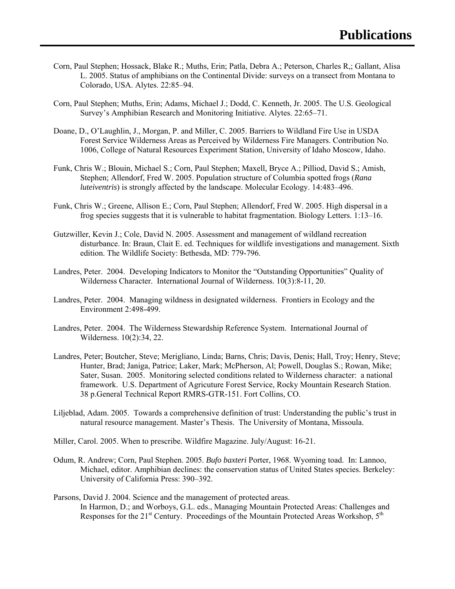- Corn, Paul Stephen; Hossack, Blake R.; Muths, Erin; Patla, Debra A.; Peterson, Charles R,; Gallant, Alisa L. 2005. Status of amphibians on the Continental Divide: surveys on a transect from Montana to Colorado, USA. Alytes. 22:85–94.
- Corn, Paul Stephen; Muths, Erin; Adams, Michael J.; Dodd, C. Kenneth, Jr. 2005. The U.S. Geological Survey's Amphibian Research and Monitoring Initiative. Alytes. 22:65–71.
- Doane, D., O'Laughlin, J., Morgan, P. and Miller, C. 2005. Barriers to Wildland Fire Use in USDA Forest Service Wilderness Areas as Perceived by Wilderness Fire Managers. Contribution No. 1006, College of Natural Resources Experiment Station, University of Idaho Moscow, Idaho.
- Funk, Chris W.; Blouin, Michael S.; Corn, Paul Stephen; Maxell, Bryce A.; Pilliod, David S.; Amish, Stephen; Allendorf, Fred W. 2005. Population structure of Columbia spotted frogs (*Rana luteiventris*) is strongly affected by the landscape. Molecular Ecology. 14:483–496.
- Funk, Chris W.; Greene, Allison E.; Corn, Paul Stephen; Allendorf, Fred W. 2005. High dispersal in a frog species suggests that it is vulnerable to habitat fragmentation. Biology Letters. 1:13–16.
- Gutzwiller, Kevin J.; Cole, David N. 2005. Assessment and management of wildland recreation disturbance. In: Braun, Clait E. ed. Techniques for wildlife investigations and management. Sixth edition. The Wildlife Society: Bethesda, MD: 779-796.
- Landres, Peter. 2004. Developing Indicators to Monitor the "Outstanding Opportunities" Quality of Wilderness Character. International Journal of Wilderness. 10(3):8-11, 20.
- Landres, Peter. 2004. Managing wildness in designated wilderness. Frontiers in Ecology and the Environment 2:498-499.
- Landres, Peter. 2004. The Wilderness Stewardship Reference System. International Journal of Wilderness. 10(2):34, 22.
- Landres, Peter; Boutcher, Steve; Merigliano, Linda; Barns, Chris; Davis, Denis; Hall, Troy; Henry, Steve; Hunter, Brad; Janiga, Patrice; Laker, Mark; McPherson, Al; Powell, Douglas S.; Rowan, Mike; Sater, Susan. 2005. Monitoring selected conditions related to Wilderness character: a national framework. U.S. Department of Agricuture Forest Service, Rocky Mountain Research Station. 38 p.General Technical Report RMRS-GTR-151. Fort Collins, CO.
- Liljeblad, Adam. 2005. Towards a comprehensive definition of trust: Understanding the public's trust in natural resource management. Master's Thesis. The University of Montana, Missoula.
- Miller, Carol. 2005. When to prescribe. Wildfire Magazine. July/August: 16-21.
- Odum, R. Andrew; Corn, Paul Stephen. 2005. *Bufo baxteri* Porter, 1968. Wyoming toad. In: Lannoo, Michael, editor. Amphibian declines: the conservation status of United States species. Berkeley: University of California Press: 390–392.
- Parsons, David J. 2004. Science and the management of protected areas. In Harmon, D.; and Worboys, G.L. eds., Managing Mountain Protected Areas: Challenges and Responses for the  $21<sup>st</sup>$  Century. Proceedings of the Mountain Protected Areas Workshop,  $5<sup>th</sup>$